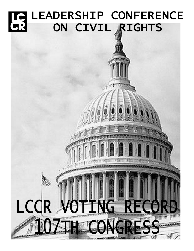# LE LEADERSHIP CONFERENCE ON CIVIL RIGHTS

LCCR VOTING R

ga t

17.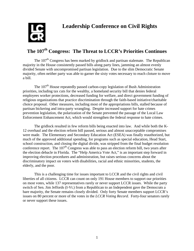

# **The 107th Congress: The Threat to LCCR's Priorities Continues**

The 107<sup>th</sup> Congress has been marked by gridlock and partisan stalemate. The Republican majority in the House consistently passed bills along party lines, jamming an almost evenly divided Senate with uncompromised partisan legislation. Due to the slim Democratic Senate majority, often neither party was able to garner the sixty votes necessary to reach cloture to move a bill.

The 107<sup>th</sup> House repeatedly passed carbon-copy legislation of Bush Administration priorities, including tax cuts for the wealthy, a homeland security bill that denies federal employees worker protections, decreased funding for welfare, and direct government funding of religious organizations that practice discrimination through the faith-based initiative/charitable choice proposal. Other measures, including most of the appropriations bills, stalled because of partisan bickering and intra-party wrangling. Despite increased support for hate crimes prevention legislation, the polarization of the Senate prevented the passage of the Local Law Enforcement Enhancement Act, which would strengthen the federal response to hate crimes.

The gridlock resulted in few reform bills being enacted into law. And while both the K-12 overhaul and the election reform bill passed, serious and almost unacceptable compromises were made. The Elementary and Secondary Education Act (ESEA) was finally reauthorized, but much of the approved additional spending, for programs such as special education, Head Start, school construction, and closing the digital divide, was stripped from the final budget resolution conference report. The  $107<sup>th</sup>$  Congress was able to pass an election reform bill, two years after the election debacle in Florida. The "Help America Vote Act," is an important step forward in improving election procedures and administration, but raises serious concerns about the discriminatory impact on voters with disabilities, racial and ethnic minorities, students, the elderly, and the poor.

This is a challenging time for issues important to LCCR and the civil rights and civil liberties of all citizens. LCCR can count on only 191 House members to support our priorities on most votes, while 137 representatives rarely or never support LCCR issues. While the party switch of Sen. Jim Jeffords (I-Vt.) from a Republican to an Independent gave the Democrats a bare majority, the Senate remains closely divided. Only forty Senate members support LCCR's issues on 80 percent or more of the votes in the *LCCR Voting Record*. Forty-four senators rarely or never support these issues.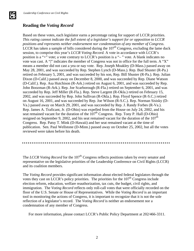# **Reading the** *Voting Record*

Based on these votes, each legislator earns a percentage rating for support of LCCR priorities. *This rating cannot indicate the full extent of a legislator's support for or opposition to LCCR positions and represents neither endorsement nor condemnation of any member of Congress.*  LCCR has taken a sample of bills considered during the  $107<sup>th</sup>$  Congress, excluding the lame duck session, to comprise this year's *LCCR Voting Record.* A vote in accordance with LCCR's position is a "+" vote; a vote contrary to LCCR's position is a "– " vote. A blank indicates no vote was cast. A "|" indicates the member of Congress was not in office for the full term. A "X" means a member did not cast a yea or nay vote. Rep. Joseph Moakley (D-Mass.) passed away on May 28, 2001, and was succeeded by Rep. Stephen Lynch (D-Mass.). Rep. Bud Shuster (R-Pa.) retired on February 5, 2001, and was succeeded by his son, Rep. Bill Shuster (R-Pa.). Rep. Julian Dixon (D-Calif.) passed away on December 8, 2000, and was succeeded by Rep. Diane Watson (D-Calif.). Rep. Asa Hutchison (R-Ark.) retired on August 6, 2001, and was succeeded by Rep. John Boozman (R-Ark.). Rep. Joe Scarborough (R-Fla.) retired on September 6, 2001, and was succeeded by Rep. Jeff Miller (R-Fla.). Rep. Steve Largent (R-Okla.) retired on February 15, 2002, and was succeeded by Rep. John Sullivan (R-Okla.). Rep. Floyd Spence (R-S.C.) retired on August 16, 2001, and was succeeded by Rep. Joe Wilson (R-S.C.). Rep. Norman Sisisky (D-Va.) passed away on March 29, 2001, and was succeeded by Rep. J. Randy Forbes (R-Va.). Rep. James A. Traficant, Jr. (D-Ohio) was expelled from the House on July 24, 2002, and his seat remained vacant for the duration of the  $107<sup>th</sup>$  Congress. Rep. Tony P. Hall (D-Ohio) resigned on September 9, 2002, and his seat remained vacant for the duration of the  $107<sup>th</sup>$ Congress. Rep. Patsy T. Mink (D-Hawaii) and her seat remained vacant at the time of publication. Sen. Paul Wellstone (D-Minn.) passed away on October 25, 2002, but all the votes reviewed were taken before his death.

The *LCCR Voting Record* for the 107<sup>th</sup> Congress reflects positions taken by every senator and representative on the legislative priorities of the Leadership Conference on Civil Rights (LCCR) and its coalition members.

The *Voting Record* provides significant information about elected federal legislators through the votes they cast on LCCR's policy priorities. The priorities for the  $107<sup>th</sup>$  Congress include election reform, education, welfare reauthorization, tax cuts, the budget, civil rights, and immigration. The *Voting Record* reflects only roll-call votes that were officially recorded on the floor of the U.S. Senate or House of Representatives. While the *Voting Record* is an important tool in monitoring the actions of Congress, it is important to recognize that it is not the sole reflection of a legislator's record. The *Voting Record* is neither an endorsement nor a condemnation of any member of Congress.

For more information, please contact LCCR's Public Policy Department at 202/466-3311.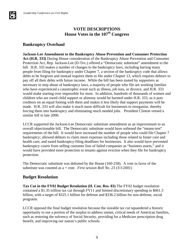# **VOTE DESCRIPTIONS House Votes in the 107th Congress**

# **Bankruptcy Overhaul**

**Jackson-Lee Amendment to the Bankruptcy Abuse Prevention and Consumer Protection Act (H.R. 333)** During House consideration of the Bankruptcy Abuse Prevention and Consumer Protection Act, Rep. Jackson-Lee (D-Tex.) offered a "Democratic substitute" amendment to the bill. H.R. 333 makes a number of changes to the bankruptcy laws, including barring many people from filing for bankruptcy under Chapter 7, a section of the bankruptcy code that allows debts to be forgiven and instead requires them to file under Chapter 13, which requires debtors to pay off all their debts with future income. While the bill has been touted by supporters as necessary to stop abuse of bankruptcy laws, a majority of people who file are working families who have experienced a catastrophic event such as illness, job loss, or divorce, and H.R. 333 would make starting over impossible for most. In addition, hundreds of thousands of women and children who are owed child support or alimony would be harmed under H.R. 333, as it puts creditors on an equal footing with them and makes it less likely that support payments will be made. H.R. 333 will also make it much more difficult for businesses to reorganize, thereby forcing them into bankruptcy and eliminating much needed jobs. President Clinton vetoed a similar bill in late 2000.

LCCR supported the Jackson-Lee Democratic substitute amendment as an improvement to an overall objectionable bill. The Democratic substitute would have softened the "means-test" requirements of the bill. It would have increased the number of people who could file Chapter 7 bankruptcy; allowed debtors to claim more expenses including those related to foster care and health care; and eased bankruptcy-filing deadlines for businesses. It also would have prevented bankruptcy courts from selling customer lists of failed companies as "business assets," and it would have provided more protection to tenants against eviction when they file for bankruptcy protection.

The Democratic substitute was defeated by the House (160-258). A vote in favor of the substitute was counted as a + vote. *First session Roll No. 23 (3/1/2001)*

#### **Budget Resolution**

**Tax Cut in the FY02 Budget Resolution (H. Con. Res. 83)** The FY02 budget resolution contained a \$1.35 trillion tax cut through FY11 and limited discretionary spending to \$661.3 billion, with a target of \$325.1 billion for defense and \$336.2 billion for non-defense, social programs.

LCCR opposed the final budget resolution because the sizeable tax cut squandered a historic opportunity to use a portion of the surplus to address unmet, critical needs of American families, such as restoring the solvency of Social Security, providing for a Medicare prescription drug benefit, and improving our nation's public schools.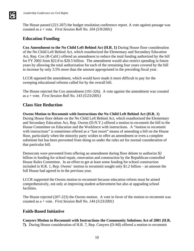The House passed (221-207) the budget resolution conference report. A vote against passage was counted as a + vote. *First Session Roll No. 104 (5/9/2001)*

# **Education Funding**

**Cox Amendment to the No Child Left Behind Act (H.R. 1)** During House floor consideration of the No Child Left Behind Act, which reauthorized the Elementary and Secondary Education Act, Rep. Cox (R-Calif.) offered an amendment to reduce the total funding authorized by the bill for FY 2002 from \$22.8 to \$20.5 billion. The amendment would also restrict spending in future years by allowing the total authorization for each of the remaining four years covered by the bill to increase by only 3.5% more than the amount appropriated in the preceding fiscal year.

LCCR opposed the amendment, which would have made it more difficult to pay for the sweeping educational reforms called for by the overall bill.

The House rejected the Cox amendment (101-326). A vote against the amendment was counted as a + vote. *First Session Roll No. 143 (5/23/2001)*

#### **Class Size Reduction**

**Owens Motion to Recommit with Instructions the No Child Left Behind Act (H.R. 1)**  During House floor debate on the No Child Left Behind Act, which reauthorized the Elementary and Secondary Education Act, Rep. Owens (D-N.Y.) offered a motion to recommit the bill to the House Committee on Education and the Workforce with instructions. A "motion to recommit with instructions" is sometimes offered as a "last resort" means of amending a bill on the House floor, particularly when the minority party wishes to offer an amendment or even a complete substitute but has been prevented from doing so under the rules set for normal consideration of that particular bill.

Democrats were prevented from offering an amendment during floor debate to authorize \$2 billion in funding for school repair, renovation and construction by the Republican-controlled House Rules Committee. In an effort to get at least some funding for school construction included in H.R. 1, Rep. Owens' motion to recommit sought only \$1.2 billion – an amount the full House had agreed to in the previous year.

LCCR supported the Owens motion to recommit because education reform must be aimed comprehensively, not only at improving student achievement but also at upgrading school facilities.

The House rejected (207-223) the Owens motion. A vote in favor of the motion to recommit was counted as a + vote. *First Session Roll No. 144 (5/23/2001)*

# **Faith-Based Initiative**

**Conyers Motion to Recommit with Instructions the Community Solutions Act of 2001 (H.R. 7).** During House consideration of H.R. 7, Rep. Conyers (D-MI) offered a motion to recommit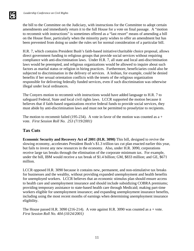the bill to the Committee on the Judiciary, with instructions for the Committee to adopt certain amendments and immediately return it to the full House for a vote on final passage. A "motion to recommit with instructions" is sometimes offered as a "last resort" means of amending a bill on the House floor, particularly when the minority party wishes to offer an amendment but has been prevented from doing so under the rules set for normal consideration of a particular bill.

H.R. 7, which contains President Bush's faith-based initiative/charitable choice proposal, allows direct government funding to religious groups that provide social services without requiring compliance with anti-discrimination laws. Under H.R. 7, all state and local anti-discrimination laws would be preempted, and religious organizations would be allowed to inquire about such factors as marital status or religion in hiring practices. Furthermore, beneficiaries could also be subjected to discrimination in the delivery of services. A lesbian, for example, could be denied benefits if her sexual orientation conflicts with the tenets of the religious organization responsible for delivering federally funded services, even if such discrimination was otherwise illegal under local ordinances.

The Conyers motion to recommit with instructions would have added language to H.R. 7 to safeguard Federal, State and local civil rights laws. LCCR supported the motion because it believes that if faith-based organizations receive federal funds to provide social services, they must abide by anti-discrimination laws and must not be permitted to proselytize to recipients.

The motion to recommit failed (195-234). A vote in favor of the motion was counted as  $a +$ vote. *First Session Roll No. 253 (7/19/2001)*

# **Tax Cuts**

**Economic Security and Recovery Act of 2001 (H.R. 3090)** This bill, designed to revive the slowing economy, accelerates President Bush's \$1.3 trillion tax cut plan enacted earlier this year, but fails to invest any new resources in the economy. Also, under H.R. 3090, corporations receive large tax breaks through the elimination of the corporate minimum tax. For example, under the bill, IBM would receive a tax break of \$1.4 billion; GM, \$833 million; and GE, \$671 million.

LCCR opposed H.R. 3090 because it contains new, permanent, and non-stimulative tax breaks for businesses and the wealthy, without providing expanded unemployment and health benefits for unemployed workers. LCCR believes that an economic stimulus plan should ensure access to health care and unemployment insurance and should include subsidizing COBRA premiums; providing temporary assistance to state-based health care through Medicaid; making part-time workers eligible for unemployment insurance; and expanding unemployment insurance benefits, including using the most recent months of earnings when determining unemployment insurance eligibility.

The House passed H.R. 3090 (216-214). A vote against H.R. 3090 was counted as  $a + v$ ote. *First Session Roll No. 404 (10/24/2001)*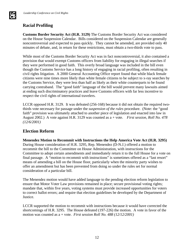# **Racial Profiling**

**AS** 

**Customs Border Security Act (H.R. 3129)** The Customs Border Security Act was considered on the House Suspension Calendar. Bills considered on the Suspension Calendar are generally noncontroversial and expected to pass quickly. They cannot be amended, are provided only 40 minutes of debate, and, in return for these restrictions, must obtain a two-thirds vote to pass.

While most of the Customs Border Security Act was in fact noncontroversial, it also contained a provision that would exempt Customs officers from liability for engaging in illegal searches if they were performed in good faith. This overly broad language was included in the bill even though the Customs Service has a long history of engaging in racial profiling, often resulting in civil rights litigation. A 2000 General Accounting Office report found that while black female citizens were nine times more likely than white female citizens to be subject to x-ray searches by the Customs Service, they were less than half as likely as their white counterparts to be found carrying contraband. The "good faith" language of the bill would prevent many lawsuits aimed at ending such discriminatory practices and leave Customs officers with far less incentive to respect the civil rights of international travelers.

LCCR opposed H.R. 3129. It was defeated (256-168) because it did not obtain the required twothirds vote necessary for passage under the *suspension of the rules* procedure. (Note: the "good faith" provision was ultimately attached to another piece of legislation and enacted into law in August 2002.) A vote against H.R. 3129 was counted as a + vote. *First session, Roll No. 478 (12/6/2001)*

# **Election Reform**

**Menendez Motion to Recommit with Instructions the Help America Vote Act (H.R. 3295)** During House consideration of H.R. 3295, Rep. Menendez (D-N.J.) offered a motion to recommit the bill to the Committee on House Administration, with instructions for the Committee to adopt certain amendments and immediately return it to the full House for a vote on final passage. A "motion to recommit with instructions" is sometimes offered as a "last resort" means of amending a bill on the House floor, particularly when the minority party wishes to offer an amendment but has been prevented from doing so under the rules set for normal consideration of a particular bill.

The Menendez motion would have added language to the pending election reform legislation to ensure that Motor Voter Law provisions remained in place; secure provisional voting rights; mandate that, within five years, voting systems must provide increased opportunities for voters to correct ballot errors; and require that election guidelines be developed by the Department of Justice.

LCCR supported the motion to recommit with instructions because it would have corrected the shortcomings of H.R. 3295. The House defeated (197-226) the motion. A vote in favor of the motion was counted as a + vote. *First session Roll No. 488 (12/12/2001)*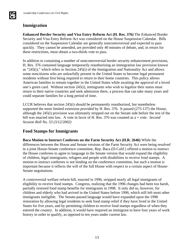# **Immigration**

**AS** 

**Enhanced Border Security and Visa Entry Reform Act (H. Res. 376)** The Enhanced Border Security and Visa Entry Reform Act was considered on the House Suspension Calendar. Bills considered on the Suspension Calendar are generally noncontroversial and expected to pass quickly. They cannot be amended, are provided only 40 minutes of debate, and, in return for these restrictions, must obtain a two-thirds vote to pass.

In addition to containing a number of noncontroversial border security enhancement provisions, H. Res. 376 contained language temporarily reauthorizing an immigration law provision known as "245(i)," which refers to Section 245(i) of the Immigration and Nationality Act and allows some noncitizens who are unlawfully present in the United States to become legal permanent residents without first being required to return to their home countries. This policy allows American families to remain together in the United States while awaiting the approval of a loved one's green card. Without section 245(i), immigrants who wish to legalize their status must return to their native countries and seek admission there, a process that can take many years and could separate families for a long period of time.

LCCR believes that section 245(i) should be permanently reauthorized, but nonetheless supported the more limited extension provided by H. Res. 376. It passed (275-137) the House, although the 245(i) provision was ultimately stripped out on the Senate side before the rest of the bill was enacted into law. A vote in favor of H. Res. 376 was counted as a + vote. *Second Session Roll No. 53 (3/12/2002)*

#### **Food Stamps for Immigrants**

**Baca Motion to Instruct Conferees on the Farm Security Act (H.R. 2646)** While the differences between the House and Senate versions of the Farm Security Act were being resolved in a joint House-Senate conference committee, Rep. Baca (D-Calif.) offered a motion to instruct the House conferees to agree to language in the Senate version that would expand the eligibility of children, legal immigrants, refugees and people with disabilities to receive food stamps. A motion to instruct conferees is not binding on the conference committee, but such a motion is important because it reflects the will of the full House with respect to a certain aspect of House-Senate negotiations.

A controversial welfare reform bill, enacted in 1996, stripped nearly all legal immigrants of eligibility to receive food stamps. Congress, realizing that the 1996 changes had been too harsh, partially restored food stamp benefits for immigrants in 1998. It only did so, however, for children and elderly who had arrived in the United States before 1996, which still left most other immigrants ineligible. The Senate-passed language would have expanded upon the 1998 restoration by allowing legal residents to seek food stamp relief if they have lived in the United States for five years, and by permitting children to receive food stamps regardless of when they entered the country. In addition, it would have required an immigrant to have four years of work history in order to qualify, as opposed to ten years under current law.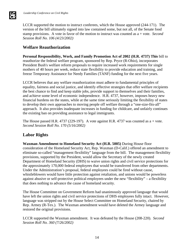**IS** 

LCCR supported the motion to instruct conferees, which the House approved (244-171). The version of the bill ultimately signed into law contained some, but not all, of the Senate food stamp provisions. A vote in favor of the motion to instruct was counted as a + vote. *Second Session Roll No. 106 (4/23/2002)*

### **Welfare Reauthorization**

**Personal Responsibility, Work, and Family Promotion Act of 2002 (H.R. 4737) This** bill to reauthorize the federal welfare program, sponsored by Rep. Pryce (R-Ohio), incorporates President Bush's welfare reform proposals to require increased work requirements for single mothers of 40 hours per week, reduce state flexibility to provide education and training, and freeze Temporary Assistance for Needy Families (TANF) funding for the next five years.

LCCR believes that any welfare reauthorization must adhere to fundamental principles of equality, fairness and social justice, and identify effective strategies that offer welfare recipients the best chance to find and keep stable jobs, provide support to themselves and their families, and achieve some level of economic independence. H.R. 4737, however, imposes heavy new financial burdens on the states, while at the same time seriously limiting the flexibility of states to develop their own approaches to moving people off welfare through a "one-size-fits-all" approach. It also provides inadequate increases in funding for childcare, and unfairly continues the existing ban on providing assistance to legal immigrants.

The House passed H.R. 4737 (229-197). A vote against H.R. 4737 was counted as  $a + v$ ote. *Second Session Roll No. 170 (5/16/2002)*

#### **Labor Rights**

**Waxman Amendment to Homeland Security Act (H.R. 5005)** During House floor consideration of the Homeland Security Act, Rep. Waxman (D-Calif.) offered an amendment to eliminate so-called "management flexibility" language from the bill. The management flexibility provisions, supported by the President, would allow the Secretary of the newly created Department of Homeland Security (DHS) to waive union rights and civil service protections for the approximately 170,000 federal employees that would be transferred from other departments. Under the Administration's proposal, federal employees could be fired without cause, whistleblowers would have little protection against retaliation, and unions would be powerless against abusive or self-protective political employees under the new "flexibility" – a flexibility that does nothing to advance the cause of homeland security.

The House Committee on Government Reform had unanimously approved language that would have left the union rights and civil service protections of DHS employees fully intact. However, language was stripped out by the House Select Committee on Homeland Security, chaired by Rep. Armey (R-Tex.). The Waxman amendment would have deleted the Armey language and restored the original provisions.

LCCR supported the Waxman amendment. It was defeated by the House (208-220). *Second Session Roll No. 360 (7/26/2002)*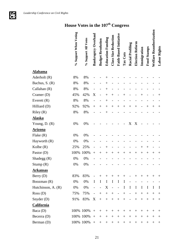**LC**<br>CR

# **House Votes in the 107th Congress**

|                    | % Support When Voting | % Support All Votes | <b>Bankruptcy Overhaul</b> | <b>Budget Resolution</b> | <b>Education Funding</b> | <b>Class Size Reduction</b> | Faith-Based Initiative   | Tax Cuts | Racial Profiling         | Election Reform | Immigration | <b>Food Stamps</b> | Welfare Reauthorization | Labor Rights       |
|--------------------|-----------------------|---------------------|----------------------------|--------------------------|--------------------------|-----------------------------|--------------------------|----------|--------------------------|-----------------|-------------|--------------------|-------------------------|--------------------|
| <b>Alabama</b>     |                       |                     |                            |                          |                          |                             |                          |          |                          |                 |             |                    |                         |                    |
| Aderholt (R)       | 8%                    | 8%                  |                            |                          |                          |                             |                          |          |                          |                 |             |                    |                         |                    |
| Bachus, S. (R)     | 8%                    | 8%                  |                            |                          | $^+$                     |                             |                          |          |                          |                 |             |                    |                         |                    |
| Callahan (R)       | 8%                    | 8%                  |                            |                          | $^+$                     |                             |                          |          |                          |                 |             |                    |                         |                    |
| Cramer $(D)$       | 45%                   | 42%                 | X                          |                          | $^{+}$                   | $^{+}$                      |                          |          |                          |                 | $^+$        |                    |                         | $\hspace{0.1mm} +$ |
| Everett $(R)$      | 8%                    | 8%                  |                            |                          | $^+$                     |                             |                          |          |                          |                 |             |                    |                         |                    |
| Hilliard (D)       | 92%                   | 92%                 | $+$                        | $^+$                     | $^+$                     | $^{+}$                      | $^{+}$                   | $^{+}$   | $^{+}$                   | $^{+}$          |             | $^{+}$             | $^{+}$                  | $^{+}$             |
| Riley (R)          | 8%                    | 8%                  |                            |                          |                          |                             |                          |          |                          |                 |             |                    |                         |                    |
| <b>Alaska</b>      |                       |                     |                            |                          |                          |                             |                          |          |                          |                 |             |                    |                         |                    |
| Young, D. (R)      | $0\%$                 | $0\%$               |                            |                          |                          |                             |                          |          | X                        | X               |             |                    |                         |                    |
| <b>Arizona</b>     |                       |                     |                            |                          |                          |                             |                          |          |                          |                 |             |                    |                         |                    |
| Flake (R)          | 0%                    | 0%                  |                            |                          |                          |                             |                          |          |                          |                 |             |                    |                         |                    |
| Hayworth (R)       | $0\%$                 | 0%                  |                            |                          |                          |                             |                          |          |                          |                 |             |                    |                         |                    |
| Kolbe $(R)$        | 25%                   | 25%                 |                            |                          | $^+$                     |                             |                          |          |                          |                 | $^+$        | $^{+}$             |                         |                    |
| Pastor (D)         | 100%                  | 100%                | $^{+}$                     | $\hspace{.01in} +$       | $^{+}$                   | $^{+}$                      | $^+$                     | $^{+}$   | $^+$                     | $^{+}$          | $^{+}$      | $^{+}$             | $^+$                    | $^+$               |
| Shadegg (R)        | $0\%$                 | 0%                  |                            |                          |                          |                             |                          |          |                          |                 |             |                    |                         |                    |
| Stump $(R)$        | 0%                    | 0%                  |                            |                          |                          |                             |                          |          |                          |                 |             |                    |                         |                    |
| <u>Arkansas</u>    |                       |                     |                            |                          |                          |                             |                          |          |                          |                 |             |                    |                         |                    |
| Berry(D)           | 83%                   | 83%                 |                            | $^{+}$                   | $+$                      | $^{+}$                      | $^{+}$                   | $^{+}$   |                          | $^{+}$          | $^+$        | $^+$               | $^{+}$                  | $^+$               |
| Boozman (R)        | 0%                    | 0%                  | I                          | I                        | I                        | I                           | $\bf{I}$                 | I        |                          |                 |             |                    |                         |                    |
| Hutchinson, A. (R) | 0%                    | 0%                  |                            | $\overline{\phantom{0}}$ | X                        | $\overline{a}$              | $\overline{\phantom{0}}$ | I        | I                        | $\bf{I}$        | I           | I                  | I                       | I                  |
| Ross(D)            | 75%                   | 75%                 | $\overline{\phantom{0}}$   | $^{+}$                   | $+$                      |                             | $\overline{\phantom{0}}$ | $+$      | $\qquad \qquad -$        | $\! + \!\!\!\!$ | $+$         | $^{+}$             | $^{+}$                  | $^+$               |
| Snyder $(D)$       | 91%                   | 83%                 | X                          | $+$                      |                          | $^{+}$                      | $+$                      | $+$      | $\overline{\phantom{a}}$ | $+$             | $^{+}$      | $+$                | $^{+}$                  | $^{+}$             |
| <b>California</b>  |                       |                     |                            |                          |                          |                             |                          |          |                          |                 |             |                    |                         |                    |
| Baca (D)           |                       | 100% 100%           | $^{+}$                     | $^{+}$                   | $^+$                     | $^{+}$                      | $^{+}$                   | $^{+}$   | $^+$                     | $^{+}$          | $^+$        | $^+$               | $^{+}$                  | $\pm$              |
| Becerra (D)        |                       | 100% 100%           | $+$                        | $^{+}$                   | $^{+}$                   | $+$                         | $^{+}$                   | $^+$     | $^{+}$                   | $^+$            | $^{+}$      | $^+$               | $^{+}$                  | $^{+}$             |
| Berman (D)         |                       | 100% 100%           | $+$                        | $^{+}$                   |                          | $^{+}$                      | $^{+}$                   | $^{+}$   | $^{+}$                   | $^{+}$          | $^{+}$      | $^{+}$             | $^{+}$                  | $^{+}$             |

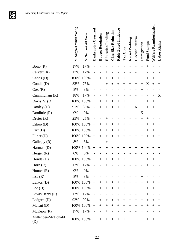

|                           | % Support When Voting | % Support All Votes | <b>Bankruptcy Overhaul</b> | <b>Budget Resolution</b> | <b>Education Funding</b> | <b>Class Size Reduction</b> | Faith-Based Initiative | Tax Cuts | <b>Racial Profiling</b> | Election Reform | Immigration        | <b>Food Stamps</b> | Welfare Reauthorization | Labor Rights                     |
|---------------------------|-----------------------|---------------------|----------------------------|--------------------------|--------------------------|-----------------------------|------------------------|----------|-------------------------|-----------------|--------------------|--------------------|-------------------------|----------------------------------|
| Bono $(R)$                | 17%                   | 17%                 |                            |                          |                          |                             |                        |          |                         |                 | $^{+}$             | $^{+}$             |                         |                                  |
| Calvert $(R)$             | 17%                   | 17%                 |                            |                          |                          |                             |                        |          |                         |                 | $^+$               |                    |                         |                                  |
| Capps (D)                 | 100%                  | 100%                | $^{+}$                     | $^+$                     | $^{+}$                   | $\overline{+}$              | $^{+}$                 | $^{+}$   | $\overline{+}$          | $^{+}$          | $^{+}$             | $^{+}$             | $^+$                    | $\hspace{0.1mm} +$               |
| Condit (D)                | 82%                   | 75%                 |                            |                          | $^+$                     | $^{+}$                      | $^{+}$                 | $^{+}$   | $^{+}$                  | $^{+}$          | $^{+}$             | X                  | $^{+}$                  | $\hspace{0.1mm} +$               |
| Cox(R)                    | 8%                    | 8%                  |                            |                          |                          |                             |                        |          |                         |                 | $^+$               |                    |                         |                                  |
| Cunningham (R)            | 18%                   | 17%                 |                            |                          | $^{\mathrm{+}}$          |                             |                        |          |                         |                 | $\hspace{0.1mm} +$ |                    |                         | X                                |
| Davis, S. (D)             | 100%                  | 100%                | $+$                        | $^{+}$                   | $^{+}$                   | $\overline{+}$              | $^{+}$                 | $^+$     | $\overline{+}$          | $^{+}$          | $^{+}$             | $^{+}$             | $^+$                    | $^{+}$                           |
| Dooley (D)                | 91%                   | 83%                 |                            | $\hspace{.011cm} +$      | $^{+}$                   | $^{+}$                      | $^{+}$                 | $^{+}$   | $^{+}$                  | X               | $^{+}$             | $^{+}$             | $\,+\,$                 | $\hspace{0.1mm} +\hspace{0.1mm}$ |
| Doolittle $(R)$           | 0%                    | 0%                  |                            |                          |                          |                             |                        |          |                         |                 | X                  |                    |                         |                                  |
| Dreier (R)                | 25%                   | 25%                 |                            |                          | $\,{}^+$                 |                             |                        |          |                         |                 | $^{+}$             | $^{+}$             |                         |                                  |
| Eshoo (D)                 | 100%                  | 100%                | $^{+}$                     | $\,+\,$                  | $^{+}$                   | $^{+}$                      | $^{+}$                 | $^{+}$   | $^{+}$                  | $^{+}$          | $^{+}$             | $^{+}$             | $\overline{+}$          | $\hspace{0.1mm} +$               |
| Farr $(D)$                | 100%                  | 100%                | $^{+}$                     | $^{+}$                   | $^{+}$                   | $^{+}$                      | $+$                    | $^{+}$   | $^{+}$                  | $+$             | $^{+}$             | $^{+}$             | $^+$                    | $^{+}$                           |
| Filner $(D)$              | 100%                  | 100%                | $^{+}$                     | $^{+}$                   | $^{+}$                   | $^{+}$                      | $^{+}$                 | $^{+}$   | $^{+}$                  | $^{+}$          | $^{+}$             | $^{+}$             | $^{+}$                  | $\hspace{0.1mm} +$               |
| Gallegly (R)              | 8%                    | 8%                  |                            |                          | $^+$                     |                             |                        |          |                         |                 |                    |                    |                         |                                  |
| Harman (D)                | 100%                  | 100%                | $^{+}$                     | $^{+}$                   | $^{+}$                   | $^{+}$                      | $^{+}$                 | $^{+}$   | $^{+}$                  | $^{+}$          | $^{+}$             | $^{+}$             | $^+$                    | $^+$                             |
| Herger $(R)$              | 0%                    | 0%                  |                            |                          |                          |                             |                        |          |                         |                 |                    |                    |                         |                                  |
| Honda (D)                 | 100%                  | 100%                | $^{+}$                     | $^{+}$                   | $^+$                     | $\overline{+}$              | $^{+}$                 | $^+$     | $\hspace{0.1mm} +$      | $^{+}$          | $^{+}$             | $^{+}$             | $\,+\,$                 | $\hspace{0.1mm} +\hspace{0.1mm}$ |
| Horn $(R)$                | 17%                   | 17%                 | $\overline{\phantom{0}}$   |                          | $\,+\,$                  |                             |                        |          |                         |                 |                    | $\,+\,$            |                         |                                  |
| Hunter $(R)$              | 0%                    | 0%                  |                            |                          |                          |                             |                        |          |                         |                 |                    |                    |                         |                                  |
| $\text{Issa}(\text{R})$   | 8%                    | 8%                  |                            |                          |                          |                             |                        |          |                         |                 | $^{+}$             |                    |                         |                                  |
| Lantos $(D)$              | 100%                  | 100%                | $^{+}$                     | $^{+}$                   | $+$                      | $+$                         | $+$                    | $+$      | $+$                     | $^{+}$          |                    | $^{+}$             | $^+$                    | $\hspace{0.1mm} +$               |
| Lee $(D)$                 |                       | 100% 100%           | $^{+}$                     | $+$                      | $+$                      | $+$                         | $+$                    | $+$      | $+$                     | $+$             | $+$                | $+$                | $^{+}$                  | $\pm$                            |
| Lewis, Jerry $(R)$        | 17%                   | 17%                 |                            |                          |                          |                             |                        |          |                         |                 | $+$                | $+$                |                         |                                  |
| Lofgren $(D)$             | 92%                   | 92%                 |                            | $^{+}$                   | $^{+}$                   | $+$                         | $^{+}$                 | $+$      | $+$                     | $+$             | $^{+}$             | $^{+}$             | $\pm$                   | $\pm$                            |
| Matsui (D)                | 100%                  | 100%                | $+$                        | $+$                      | $+$                      | $+$                         | $+$                    | $+$      | $+$                     | $+$             | $+$                | $^{+}$             | $^{+}$                  | $^{+}$                           |
| McKeon(R)                 | 17%                   | 17%                 |                            |                          | $+$                      |                             |                        |          |                         |                 | $^{+}$             |                    |                         |                                  |
| Millender-McDonald<br>(D) |                       | 100% 100%           | $+$                        | $^{+}$                   | $^{+}$                   | $^{+}$                      | $+$                    | $+$      | $+$                     | $+$             | $^{+}$             | $^{+}$             | $^{+}$                  | $^{+}$                           |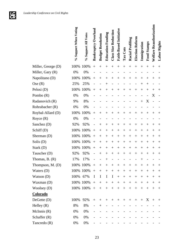

|                    | % Support When Voting | % Support All Votes | <b>Bankruptcy Overhaul</b> | <b>Budget Resolution</b> | <b>Education Funding</b> | <b>Class Size Reduction</b>      | Faith-Based Initiative | Tax Cuts           | <b>Racial Profiling</b> | Election Reform    | Immigration        | Food Stamps                      | <b>Welfare Reauthorization</b> | Labor Rights                     |
|--------------------|-----------------------|---------------------|----------------------------|--------------------------|--------------------------|----------------------------------|------------------------|--------------------|-------------------------|--------------------|--------------------|----------------------------------|--------------------------------|----------------------------------|
| Miller, George (D) | 100%                  | 100%                | $^{+}$                     | $\overline{+}$           | $^{+}$                   | $^{+}$                           | $^+$                   | $^{+}$             | $^{+}$                  | $\,+\,$            | $^{+}$             | $^{+}$                           | $^{+}$                         | $^{+}$                           |
| Miller, Gary (R)   | 0%                    | 0%                  |                            |                          |                          |                                  |                        |                    |                         |                    |                    |                                  |                                |                                  |
| Napolitano (D)     | 100%                  | 100%                | $^{+}$                     | $^+$                     | $\hspace{0.1mm} +$       | $^{+}$                           | $\, +$                 | $\hspace{0.1mm} +$ | $^{+}$                  | $\overline{+}$     | $\hspace{0.1mm} +$ | $^{+}$                           | $\overline{+}$                 | $\hspace{0.1mm} +$               |
| Ose(R)             | 25%                   | 25%                 |                            |                          | $^{+}$                   |                                  |                        |                    |                         |                    | $^+$               | $^{+}$                           |                                |                                  |
| Pelosi (D)         | 100%                  | 100%                | $^{+}$                     | $\overline{+}$           | $^{+}$                   | $+$                              | $\overline{+}$         | $\hspace{0.1mm} +$ | $^{+}$                  | $^{+}$             | $^{+}$             | $^{+}$                           | $^{+}$                         | $\overline{+}$                   |
| Pombo $(R)$        | 0%                    | 0%                  |                            |                          |                          |                                  |                        |                    |                         |                    |                    |                                  | X                              |                                  |
| Radanovich (R)     | 9%                    | 8%                  |                            |                          |                          |                                  |                        |                    |                         |                    | $^{+}$             | X                                |                                |                                  |
| Rohrabacher (R)    | 0%                    | 0%                  |                            |                          |                          |                                  |                        |                    |                         |                    |                    |                                  |                                |                                  |
| Roybal-Allard (D)  | 100%                  | 100%                | $^{+}$                     | $^{+}$                   | $^{+}$                   | $^{+}$                           | $^{+}$                 | $^{+}$             | $^{+}$                  | $^{+}$             | $^{+}$             | $^{+}$                           | $\hspace{0.1mm} +$             | $\hspace{0.1mm} +$               |
| Royce $(R)$        | 0%                    | 0%                  |                            |                          |                          |                                  |                        |                    |                         |                    |                    |                                  |                                |                                  |
| Sanchez (D)        | 92%                   | 92%                 |                            | ┿                        | $\,{}^+$                 | $\hspace{0.1mm} +\hspace{0.1mm}$ | $\hspace{0.1mm} +$     | $^+$               | $^{+}$                  | $\hspace{0.1mm} +$ | $^+$               | $\hspace{0.1mm} +$               | $^+$                           | $^+$                             |
| Schiff (D)         | 100%                  | 100%                | $^{+}$                     | $^+$                     | $^{+}$                   | $^{+}$                           | $\,+\,$                | $^{+}$             | $^{+}$                  | $^+$               | $^{+}$             | $^{+}$                           | $^+$                           | $\hspace{0.1mm} +$               |
| Sherman (D)        |                       | 100% 100%           | $^{+}$                     | $\hspace{0.1mm} +$       | $^{+}$                   | $^{+}$                           | $^{+}$                 | $^{+}$             | $^{+}$                  | $^{+}$             | $^{+}$             | $^{+}$                           | $\hspace{0.1mm} +$             | $\hspace{0.1mm} +$               |
| Solis (D)          | 100%                  | 100%                | $^{+}$                     | $^{+}$                   | $^{+}$                   | $^{+}$                           | $^{+}$                 | $^{+}$             | $^{+}$                  | $^+$               | $^{+}$             | $^{+}$                           | $^+$                           | $\hspace{0.1mm} +$               |
| Stark (D)          | 100%                  | 100%                | $^{+}$                     | $^{+}$                   | $\! +$                   | $^{+}$                           | $^{+}$                 | $^{+}$             | $^{+}$                  | $^{+}$             | $^{+}$             | $^{+}$                           | $^+$                           | $\hspace{0.1mm} +$               |
| Tauscher (D)       | 92%                   | 92%                 |                            | $\overline{+}$           | $\! +$                   | $^{+}$                           | $^{+}$                 | $^{+}$             | $^{+}$                  | $\overline{+}$     | $^{+}$             | $^{+}$                           | $^+$                           | $\hspace{0.1mm} +\hspace{0.1mm}$ |
| Thomas, $B. (R)$   | 17%                   | 17%                 |                            |                          |                          |                                  |                        |                    |                         |                    |                    |                                  |                                |                                  |
| Thompson, $M.$ (D) |                       | 100% 100%           | $\hspace{0.1mm} +$         |                          | $^{+}$                   |                                  |                        |                    |                         | $^+$               |                    |                                  |                                |                                  |
| Waters $(D)$       |                       | 100% 100%           | $^{+}$                     | $^{+}$                   |                          | $^{+}$                           | $^{+}$                 | $^{+}$             | $\hspace{0.1mm} +$      | $^+$               | $^{+}$             | $\hspace{0.1mm} +\hspace{0.1mm}$ | $^+$                           | $^{+}$                           |
| Watson $(D)$       | 100% 67%              |                     | I                          | I                        | $\bf{I}$                 | $\bf{I}$                         | $+$                    | $+$                | $+$                     | $^{+}$             | $^{+}$             | $^{+}$                           | $^{+}$                         | $^{+}$                           |
| Waxman (D)         |                       | 100% 100%           | $+$                        | $+$                      |                          | $+$                              | $+$                    | $+$                | $^{+}$                  | $^{+}$             | $+$                | $^{+}$                           | $^+$                           | $^{+}$                           |
| Woolsey (D)        |                       | 100% 100%           | $\boldsymbol{+}$           | $\! + \!\!\!\!$          | $\boldsymbol{+}$         | $\qquad \qquad +$                | $^{+}$                 | $\boldsymbol{+}$   | $\boldsymbol{+}$        | $+$                | $+$                | $^{+}$                           | $^{+}$                         | $^{+}$                           |
| Colorado           |                       |                     |                            |                          |                          |                                  |                        |                    |                         |                    |                    |                                  |                                |                                  |
| DeGette(D)         | 100%                  | 92%                 | $+$                        | $^{+}$                   | $^{+}$                   | $^{+}$                           | $^{+}$                 | $+$                | $+$                     | $^{+}$             | $+$                | $X_{\mathcal{I}}$                | $+$                            | $^{+}$                           |
| Hefley $(R)$       | 8%                    | 8%                  |                            | $^{+}$                   |                          |                                  |                        |                    |                         |                    |                    |                                  |                                |                                  |
| McInnis(R)         | 0%                    | 0%                  |                            |                          |                          |                                  |                        |                    |                         |                    |                    |                                  |                                |                                  |
| Schaffer $(R)$     | 0%                    | 0%                  |                            |                          |                          |                                  |                        |                    |                         |                    |                    |                                  |                                |                                  |
| Tancredo (R)       | 0%                    | 0%                  |                            |                          |                          |                                  |                        |                    |                         |                    |                    |                                  |                                |                                  |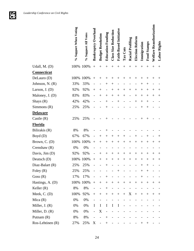**GFG** 

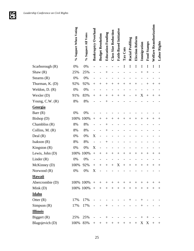

|                  | % Support When Voting | % Support All Votes | <b>Bankruptcy Overhaul</b> | <b>Budget Resolution</b> | <b>Education Funding</b>         | <b>Class Size Reduction</b> | Faith-Based Initiative | Tax Cuts | <b>Racial Profiling</b> | Election Reform | Immigration        | <b>Food Stamps</b> | Welfare Reauthorization | Labor Rights       |
|------------------|-----------------------|---------------------|----------------------------|--------------------------|----------------------------------|-----------------------------|------------------------|----------|-------------------------|-----------------|--------------------|--------------------|-------------------------|--------------------|
| Scarborough (R)  | 0%                    | 0%                  |                            |                          |                                  |                             |                        |          | I                       | I               | I                  | I                  | I                       | I                  |
| Shaw $(R)$       | 25%                   | 25%                 |                            |                          |                                  |                             |                        |          |                         |                 | $^+$               | $^{+}$             |                         |                    |
| Stearns $(R)$    | 0%                    | 0%                  |                            |                          |                                  |                             |                        |          |                         |                 |                    |                    |                         |                    |
| Thurman, K. (D)  | 92%                   | 92%                 | $^{+}$                     | $\, + \,$                | $\hspace{0.1mm} +\hspace{0.1mm}$ | $^{+}$                      | $\overline{+}$         | $^+$     | $^{+}$                  | $^+$            |                    | $^{+}$             | $\overline{+}$          | $\hspace{0.1mm} +$ |
| Weldon, $D. (R)$ | 0%                    | 0%                  |                            |                          |                                  |                             |                        |          |                         |                 |                    |                    |                         |                    |
| Wexler (D)       | 91%                   | 83%                 | $^{+}$                     | $^+$                     | $^+$                             | $^{+}$                      | $\,+\,$                | ┿        |                         | $^{+}$          | X                  | $^{+}$             | $^{+}$                  | $^+$               |
| Young, C.W. (R)  | 8%                    | 8%                  |                            |                          |                                  |                             |                        |          |                         |                 |                    |                    |                         |                    |
| <u>Georgia</u>   |                       |                     |                            |                          |                                  |                             |                        |          |                         |                 |                    |                    |                         |                    |
| Barr $(R)$       | 0%                    | 0%                  |                            |                          |                                  |                             |                        |          |                         |                 |                    |                    |                         |                    |
| Bishop (D)       | 100%                  | 100%                | $^{+}$                     | $^+$                     | $^+$                             | $^{+}$                      | $\,+\,$                | $^+$     | $^{+}$                  | $^{+}$          | $^+$               | $^{+}$             | $^+$                    | ┿                  |
| Chambliss (R)    | 8%                    | 8%                  |                            |                          |                                  |                             |                        |          |                         |                 |                    |                    |                         |                    |
| Collins, M. (R)  | 8%                    | 8%                  |                            |                          | $^+$                             |                             |                        |          |                         |                 |                    |                    |                         |                    |
| Deal $(R)$       | 0%                    | 0%                  | X                          |                          |                                  |                             |                        |          |                         |                 |                    |                    |                         |                    |
| Isakson $(R)$    | 8%                    | 8%                  |                            |                          |                                  |                             |                        |          |                         |                 |                    |                    |                         |                    |
| Kingston $(R)$   | 0%                    | 0%                  | X                          |                          |                                  |                             |                        |          |                         |                 |                    |                    |                         |                    |
| Lewis, John (D)  | 100%                  | 100%                | $^{+}$                     | $^{+}$                   | $^{+}$                           | $^{+}$                      | $^{+}$                 | $^{+}$   | $^{+}$                  | $^{+}$          | $^{+}$             | $^{+}$             | $^{+}$                  | ┿                  |
| Linder $(R)$     | 0%                    | 0%                  |                            |                          |                                  |                             |                        |          |                         |                 |                    |                    |                         |                    |
| McKinney (D)     | 100%                  | 92%                 | $^+$                       | $^{+}$                   | $^{+}$                           | $^{+}$                      | X                      | $^{+}$   | $^{+}$                  | $\pm$           | $\hspace{0.1mm} +$ | $\pm$              | $\pm$                   | $^+$               |
| Norwood $(R)$    | 0%                    | 0%                  | X                          |                          |                                  |                             |                        |          |                         |                 |                    |                    |                         |                    |
| Hawaii           |                       |                     |                            |                          |                                  |                             |                        |          |                         |                 |                    |                    |                         |                    |
| Abercrombie (D)  |                       | 100% 100%           | $+$                        | $^{+}$                   | $+$                              | $+$                         | $+$                    | $+$      | $^{+}$                  | $^{+}$          | $^{+}$             | $^{+}$             | $^{+}$                  | $^+$               |
| Mink $(D)$       |                       | 100% 100%           | $+$                        | $+$                      | $+$                              | $+$                         | $+$                    | $+$      | $+$                     | $+$             | $+$                | $+$                | $^{+}$                  | $^{+}$             |
| <b>Idaho</b>     |                       |                     |                            |                          |                                  |                             |                        |          |                         |                 |                    |                    |                         |                    |
| Otter $(R)$      | 17%                   | 17%                 |                            |                          |                                  |                             |                        |          | $^{+}$                  |                 | $^{+}$             |                    |                         |                    |
| Simpson $(R)$    | 17%                   | 17%                 |                            |                          | $+$                              |                             |                        |          |                         |                 | $^{+}$             |                    |                         |                    |
| <b>Illinois</b>  |                       |                     |                            |                          |                                  |                             |                        |          |                         |                 |                    |                    |                         |                    |
| Biggert (R)      | 25%                   | 25%                 |                            |                          | $^{+}$                           |                             |                        |          |                         |                 | $^{+}$             | $^{+}$             |                         |                    |
| Blagojevich (D)  | 100%                  | 83%                 | $^{+}$                     | $^{+}$                   | $^{+}$                           | $^{+}$                      | $^+$                   | $^+$     | $^{+}$                  | $^{+}$          | X                  | X                  | $+$                     | $\pm$              |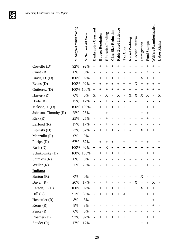

|                      | % Support When Voting | % Support All Votes | <b>Bankruptcy Overhaul</b> | <b>Budget Resolution</b> | <b>Education Funding</b>         | Class Size Reduction | Faith-Based Initiative | Tax Cuts       | <b>Racial Profiling</b> | Election Reform | Immigration                      | Food Stamps              | Welfare Reauthorization | Labor Rights       |  |
|----------------------|-----------------------|---------------------|----------------------------|--------------------------|----------------------------------|----------------------|------------------------|----------------|-------------------------|-----------------|----------------------------------|--------------------------|-------------------------|--------------------|--|
| Costello (D)         | 92%                   | 92%                 | $^{+}$                     | $^{+}$                   | $^{+}$                           | $^{+}$               | $^{+}$                 | $^{+}$         |                         | $^{+}$          | $^{+}$                           | $^{+}$                   | $^{+}$                  | $^{+}$             |  |
| Crane $(R)$          | 0%                    | 0%                  |                            |                          |                                  |                      |                        |                |                         |                 |                                  | X                        |                         |                    |  |
| Davis, D. (D)        | 100%                  | 92%                 | $^{+}$                     | $^+$                     | $^+$                             | $^{+}$               | $^{+}$                 | $\overline{+}$ | $^{+}$                  | $^{+}$          | X                                | $^{+}$                   | $^+$                    | $^+$               |  |
| Evans (D)            | 100%                  | 92%                 | $^{+}$                     | $^+$                     | $\hspace{0.1mm} +$               | $^{+}$               | $^{+}$                 | $^{+}$         | $^{+}$                  | X               | $^{+}$                           | $^{+}$                   | $^+$                    | $^+$               |  |
| Gutierrez (D)        | 100%                  | 100%                | $^{+}$                     | $^+$                     | $^{+}$                           | $^{+}$               | $^{+}$                 | $^{+}$         | $^{+}$                  | $^{+}$          | $^{+}$                           | $^{+}$                   | $^{+}$                  | $^{+}$             |  |
| Hastert $(R)$        | 0%                    | $0\%$               | X                          |                          | X                                |                      | X                      |                | X                       | X               | X                                | X                        |                         | X                  |  |
| Hyde(R)              | 17%                   | 17%                 |                            |                          |                                  |                      |                        |                |                         |                 |                                  |                          |                         |                    |  |
| Jackson, J. (D)      | 100%                  | 100%                | $^{+}$                     | $^+$                     | $\hspace{0.1mm} +$               | $^+$                 | $^{+}$                 | $^+$           | $\overline{+}$          | $^{+}$          | $^+$                             | $^{+}$                   | $^+$                    | $^+$               |  |
| Johnson, Timothy (R) | 25%                   | 25%                 |                            |                          |                                  |                      |                        |                |                         |                 | $^+$                             | $^{+}$                   |                         |                    |  |
| Kirk(R)              | 25%                   | 25%                 |                            |                          | $^+$                             |                      |                        |                |                         |                 | $\,{}^{+}$                       | $^{+}$                   |                         |                    |  |
| LaHood(R)            | 17%                   | 17%                 |                            |                          | ┿                                |                      |                        |                |                         |                 |                                  |                          |                         |                    |  |
| Lipinski (D)         | 73%                   | 67%                 |                            | $\overline{+}$           | $\hspace{0.1mm} +$               | $^{+}$               |                        | $^+$           |                         | $^{+}$          | X                                | $^{+}$                   | $^+$                    | $^+$               |  |
| Manzullo (R)         | 0%                    | 0%                  |                            |                          |                                  |                      |                        |                |                         |                 |                                  |                          |                         |                    |  |
| Phelps (D)           | 67%                   | 67%                 |                            | $^+$                     | $\hspace{0.1mm} +$               | $^{+}$               |                        | $^+$           |                         | $^+$            | $^+$                             | $^{+}$                   |                         | $\hspace{0.1mm} +$ |  |
| Rush(D)              | 100%                  | 92%                 | $^{+}$                     | $+$                      | X                                | $^{+}$               | $^{+}$                 | $^{+}$         | $^{+}$                  | $^{+}$          | $^{+}$                           | $^{+}$                   | $^+$                    | $^+$               |  |
| Schakowsky (D)       | 100%                  | 100%                | $^{+}$                     | $^{+}$                   | $^{+}$                           | $^{+}$               | $^{+}$                 | $^{+}$         | $^{+}$                  | $^{+}$          | $\hspace{0.1mm} +\hspace{0.1mm}$ | $^{+}$                   | $^+$                    | $^+$               |  |
| Shimkus (R)          | 0%                    | 0%                  |                            |                          |                                  |                      |                        |                |                         |                 |                                  |                          |                         |                    |  |
| Weller $(R)$         | 25%                   | 25%                 |                            |                          | $\hspace{0.1mm} +\hspace{0.1mm}$ |                      |                        |                |                         |                 | ┿                                | $^+$                     |                         |                    |  |
| <b>Indiana</b>       |                       |                     |                            |                          |                                  |                      |                        |                |                         |                 |                                  |                          |                         |                    |  |
| Burton $(R)$         | 0%                    | 0%                  |                            |                          |                                  |                      |                        |                |                         |                 | X                                |                          |                         |                    |  |
| Buyer $(R)$          | 20%                   | 17%                 |                            |                          | $+$                              |                      |                        |                |                         | X               | $\qquad \qquad +$                | $\overline{\phantom{a}}$ | X                       |                    |  |
| Carson, J. (D)       | 100%                  | 92%                 |                            | $^{+}$                   | $+$                              |                      | $+$                    |                | $\boldsymbol{+}$        | $^{+}$          | X                                | $^{+}$                   | $+$                     | $^+$               |  |
| Hill(D)              | 91%                   | 83%                 | $\overline{\phantom{0}}$   | $+$                      | $\boldsymbol{+}$                 | $+$                  | $+$                    | X              | $+$                     | $\! + \!\!\!\!$ |                                  | $+$                      | $^{+}$                  | $^+$               |  |
| Hostettler $(R)$     | 8%                    | 8%                  |                            |                          |                                  |                      |                        |                |                         |                 |                                  |                          | $^{+}$                  |                    |  |
| Kerns $(R)$          | 8%                    | 8%                  |                            |                          |                                  |                      |                        |                |                         |                 |                                  |                          | $^{+}$                  |                    |  |
| Pence $(R)$          | 0%                    | 0%                  |                            |                          |                                  |                      |                        |                |                         |                 |                                  |                          |                         |                    |  |
| Roemer (D)           | 92%                   | 92%                 |                            | $^{+}$                   | $^{+}$                           | $\hspace{0.1mm} +$   | $^{+}$                 | $^{+}$         | $\hspace{0.1mm} +$      | $^+$            | $^+$                             | $^{+}$                   | $^+$                    | $^+$               |  |
| Souder $(R)$         | 17%                   | 17%                 |                            |                          |                                  |                      |                        |                |                         |                 | $\hspace{0.1mm} +$               | $^{+}$                   |                         |                    |  |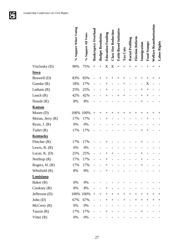**JE** 

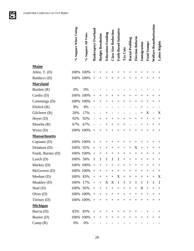**Just** 

|                      | % Support When Voting | % Support All Votes | <b>Bankruptcy Overhaul</b> | <b>Budget Resolution</b> | <b>Education Funding</b> | <b>Class Size Reduction</b> | Faith-Based Initiative | Tax Cuts           | <b>Racial Profiling</b> | Election Reform | Immigration        | <b>Food Stamps</b> | Welfare Reauthorization | Labor Rights                     |
|----------------------|-----------------------|---------------------|----------------------------|--------------------------|--------------------------|-----------------------------|------------------------|--------------------|-------------------------|-----------------|--------------------|--------------------|-------------------------|----------------------------------|
| <b>Maine</b>         |                       |                     |                            |                          |                          |                             |                        |                    |                         |                 |                    |                    |                         |                                  |
| Allen, T. (D)        | 100% 100%             |                     | $+$                        | $^+$                     | $^+$                     | $^+$                        | $^{+}$                 | $^+$               | $\overline{+}$          | $^+$            | $^+$               | $^+$               | $^+$                    | $^+$                             |
| Baldacci (D)         | 100% 100%             |                     | $+$                        | $^{+}$                   | $^{+}$                   | $^{+}$                      | $^{+}$                 | $\hspace{0.1mm} +$ | $\overline{+}$          | $^{+}$          | $^{+}$             | $^{+}$             | $^{+}$                  | $^{+}$                           |
| <b>Maryland</b>      |                       |                     |                            |                          |                          |                             |                        |                    |                         |                 |                    |                    |                         |                                  |
| Bartlett (R)         | 0%                    | 0%                  |                            |                          |                          |                             |                        |                    |                         |                 |                    |                    |                         |                                  |
| Cardin (D)           | 100%                  | 100%                | $^{+}$                     | $^{+}$                   | $^+$                     | $^{+}$                      | $^{+}$                 | $^+$               | $\overline{+}$          | $^{+}$          | $^+$               | $^{+}$             | $^+$                    | $\hspace{0.1mm} +\hspace{0.1mm}$ |
| Cummings (D)         | 100%                  | 100%                | $^{+}$                     | $+$                      | $^{+}$                   | $+$                         | $^{+}$                 | $\hspace{0.1mm} +$ | $\overline{+}$          | $^{+}$          | $\hspace{0.1mm} +$ | $^{+}$             | $^{+}$                  | $^{+}$                           |
| Ehrlich $(R)$        | 8%                    | 8%                  |                            |                          |                          |                             |                        |                    |                         |                 |                    |                    |                         |                                  |
| Gilchrest (R)        | 20%                   | 17%                 |                            |                          |                          |                             |                        |                    |                         |                 | $^{+}$             | X                  |                         | X                                |
| Hoyer $(D)$          | 92%                   | 92%                 |                            | $+$                      | $+$                      | $+$                         | $+$                    | $^{+}$             | $+$                     | $+$             | $^{+}$             | $^{+}$             | $^{+}$                  |                                  |
| Morella (R)          | 67%                   | 67%                 |                            |                          | $^{+}$                   | $^{+}$                      | $^{+}$                 | $^+$               |                         |                 | $^{+}$             | $^{+}$             | $^+$                    | $^{+}$                           |
| Wynn(D)              | 100%                  | 100%                | $+$                        | $^{+}$                   | $+$                      | $^{+}$                      | $^{+}$                 | $^{+}$             | $\overline{+}$          | $^{+}$          | $^{+}$             | $^{+}$             | $+$                     |                                  |
| <b>Massachusetts</b> |                       |                     |                            |                          |                          |                             |                        |                    |                         |                 |                    |                    |                         |                                  |
| Capuano (D)          |                       | 100% 100%           | $^{+}$                     | $^{+}$                   | $^+$                     | $^{+}$                      | $^{+}$                 | $^+$               | $^{+}$                  | $^{+}$          | $^+$               | $\hspace{0.1mm} +$ | $\hspace{0.1mm} +$      | $\hspace{0.1mm} +$               |
| Delahunt (D)         | 100%                  | 92%                 | $^{+}$                     | $^{+}$                   | $^{+}$                   | $^{+}$                      | $^{+}$                 | $^{+}$             | $^{+}$                  | X               | $^{+}$             | $^{+}$             | $^+$                    | $\hspace{0.1mm} +$               |
| Frank, Barney (D)    | 100%                  | 100%                | $^{+}$                     | $^{+}$                   | $^{+}$                   | $^{+}$                      | $^{+}$                 | $^{+}$             | $^{+}$                  | $^{+}$          | $^+$               | $\hspace{0.1mm} +$ | $^+$                    | $\hspace{0.1mm} +$               |
| Lynch $(D)$          | 100%                  | 58%                 | I                          | I                        | I                        | I                           | I                      | $^{+}$             | $^{+}$                  | $\! +$          | $^{+}$             | $^{+}$             | $^{+}$                  | $^+$                             |
| Markey $(D)$         |                       | 100% 100%           | $+$                        | $+$                      | $+$                      |                             | $+$ $+$                | $+$                | $+$                     | $^{+}$          | $^{+}$             | $^+$               | $^{+}$                  | $^{+}$                           |
| McGovern (D)         |                       | 100% 100%           | $\boldsymbol{+}$           | $^{+}$                   | $+$                      | $^{+}$                      | $^{+}$                 | $+$                | $^{+}$                  | $^{+}$          | $^{+}$             | $\hspace{0.1mm} +$ | $^+$                    | $^{+}$                           |
| Meehan $(D)$         | 100% 83%              |                     | $^{+}$                     | $^{+}$                   | $+$                      | $+$                         | X                      | $\, +$             | $\boldsymbol{+}$        | $^{+}$          | $^{+}$             | $^{+}$             | $+$                     | X                                |
| Moakley (D)          | 100%                  | 17%                 | $+$                        | $+$                      | X                        | X                           | $\mathbf I$            | $\bf{I}$           | $\bf{I}$                | $\bf{I}$        | I                  | I                  | I                       | $\bf{I}$                         |
| Neal $(D)$           | 100% 92%              |                     | $+$                        | $+$                      | $+$                      | $\boldsymbol{+}$            | $^{+}$                 | $+$                | $\boldsymbol{+}$        | $^{+}$          | X                  | $\boldsymbol{+}$   | $^{+}$                  | $+$                              |
| Olver $(D)$          |                       | 100% 100%           | $\boldsymbol{+}$           | $+$                      | $+$                      | $\boldsymbol{+}$            | $+$                    | $+$                | $+$                     | $+$             | $+$                | $^{+}$             | $^{+}$                  | $^{+}$                           |
| Tierney (D)          |                       | 100% 100%           | $+$                        | $+$                      |                          | $^{+}$                      | $+$                    |                    |                         | $+$             | $+$                | $^{+}$             | $^{+}$                  | $^{+}$                           |
| <b>Michigan</b>      |                       |                     |                            |                          |                          |                             |                        |                    |                         |                 |                    |                    |                         |                                  |
| Barcia (D)           | 83%                   | 83%                 | $^{+}$                     | $^+$                     | $^{+}$                   | $^{+}$                      | $^{+}$                 | $^{+}$             | $^{+}$                  | $^+$            |                    |                    |                         | $\pm$                            |
| Bonior (D)           |                       | 100% 100%           |                            | $+$                      | $+$                      | $^{+}$                      | $+$                    | $+$                | $^{+}$                  | $^{+}$          | $^{+}$             | $^{+}$             | $^+$                    | $^{+}$                           |
| Camp(R)              | 0%                    | $0\%$               |                            |                          |                          |                             |                        |                    |                         |                 |                    |                    |                         |                                  |

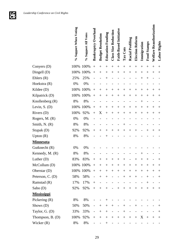**GFG** 

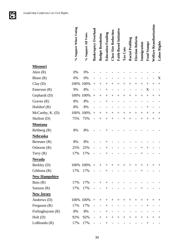**Just** 

|                      | % Support When Voting | % Support All Votes | Bankruptcy Overhaul | <b>Budget Resolution</b> | <b>Education Funding</b> | <b>Class Size Reduction</b> | Faith-Based Initiative | Tax Cuts           | Racial Profiling | Election Reform | Immigration        | Food Stamps | <b>Welfare Reauthorization</b> | Labor Rights |
|----------------------|-----------------------|---------------------|---------------------|--------------------------|--------------------------|-----------------------------|------------------------|--------------------|------------------|-----------------|--------------------|-------------|--------------------------------|--------------|
| <b>Missouri</b>      |                       |                     |                     |                          |                          |                             |                        |                    |                  |                 |                    |             |                                |              |
| Akin $(R)$           | 0%                    | 0%                  |                     |                          |                          |                             |                        |                    |                  |                 |                    |             |                                |              |
| Blunt $(R)$          | 0%                    | 0%                  |                     |                          |                          |                             |                        |                    |                  |                 |                    |             |                                | X            |
| Clay(D)              | 100%                  | 100%                | $\! + \!$           | $^{+}$                   | $\hspace{0.1mm} +$       | $^{+}$                      | $^{+}$                 | $\hspace{0.1mm} +$ | $^{+}$           | $^{+}$          | $^{+}$             | $^{+}$      | $\,+\,$                        | $^{+}$       |
| Emerson $(R)$        | 9%                    | 8%                  |                     |                          | $^+$                     |                             |                        |                    |                  |                 |                    | X           |                                |              |
| Gephardt (D)         | 100%                  | 100%                | $\! + \!$           | $^{+}$                   | $^{+}$                   | $^{+}$                      | $^{+}$                 | $\hspace{0.1mm} +$ | $^{+}$           | $^{+}$          | $^{+}$             | $^{+}$      | $^{+}$                         | $^+$         |
| Graves $(R)$         | 8%                    | 8%                  |                     |                          | $\, +$                   |                             |                        |                    |                  |                 |                    |             |                                |              |
| Hulshof $(R)$        | 8%                    | 8%                  |                     |                          |                          |                             |                        |                    |                  |                 |                    | $^{+}$      |                                |              |
| McCarthy, K. (D)     | 100%                  | 100%                | $^{+}$              | $^{+}$                   | $\hspace{0.1mm} +$       | $+$                         | $^{+}$                 | $\hspace{0.1mm} +$ | $^{+}$           | $^{+}$          | $\hspace{0.1mm} +$ | $^{+}$      | $^{+}$                         | $^+$         |
| Skelton (D)          | 75%                   | 75%                 |                     | $^{+}$                   | $^{+}$                   | $^{+}$                      |                        | $\overline{+}$     | $^{+}$           |                 | $\overline{+}$     | $^{+}$      | $^{+}$                         | $^{+}$       |
| <b>Montana</b>       |                       |                     |                     |                          |                          |                             |                        |                    |                  |                 |                    |             |                                |              |
| Rehberg (R)          | 8%                    | 8%                  |                     |                          |                          |                             |                        |                    |                  |                 |                    |             |                                |              |
| <b>Nebraska</b>      |                       |                     |                     |                          |                          |                             |                        |                    |                  |                 |                    |             |                                |              |
| Bereuter (R)         | 8%                    | 8%                  |                     |                          | ┿                        |                             |                        |                    |                  |                 |                    |             |                                |              |
| Osborne $(R)$        | 25%                   | 25%                 |                     |                          | $\hspace{0.1mm} +$       |                             |                        |                    |                  |                 | $^+$               | $^{+}$      |                                |              |
| Terry $(R)$          | 17%                   | 17%                 |                     |                          | ┿                        |                             |                        |                    |                  |                 |                    |             |                                |              |
| <b>Nevada</b>        |                       |                     |                     |                          |                          |                             |                        |                    |                  |                 |                    |             |                                |              |
| Berkley (D)          |                       | 100% 100%           | $+$                 | $+$                      | $+$                      | $+$                         | $+$                    |                    | $+$ $+$          | $+$             | $+$                | $^{+}$      | $^{+}$                         | $^{+}$       |
| Gibbons $(R)$        | 17%                   | 17%                 |                     |                          |                          |                             |                        |                    |                  |                 |                    |             |                                |              |
| <b>New Hampshire</b> |                       |                     |                     |                          |                          |                             |                        |                    |                  |                 |                    |             |                                |              |
| Bass $(R)$           | 17%                   | 17%                 |                     | $+$                      | $^{+}$                   |                             |                        |                    |                  |                 |                    |             |                                |              |
| Sununu $(R)$         | 17%                   | 17%                 |                     |                          | $^{+}$                   |                             |                        |                    |                  |                 | $^{+}$             |             |                                |              |
| <b>New Jersey</b>    |                       |                     |                     |                          |                          |                             |                        |                    |                  |                 |                    |             |                                |              |
| Andrews (D)          |                       | 100% 100%           | $+$                 | $^{+}$                   | $^{+}$                   | $+$                         | $+$                    | $^{+}$             | $+$              | $^{+}$          | $^+$               | $^{+}$      | $^{+}$                         | $^{+}$       |
| Ferguson $(R)$       | 17%                   | 17%                 |                     |                          | $+$                      |                             |                        |                    |                  |                 |                    | $+$         |                                |              |
| Frelinghuysen $(R)$  | 8%                    | 8%                  |                     |                          | $^{+}$                   |                             |                        |                    |                  |                 |                    |             |                                |              |
| Holt(D)              | 92%                   | 92%                 |                     | $+$                      | $^{+}$                   |                             | $^{+}$                 | $^{+}$             | $^{+}$           | $^{+}$          | $^+$               | $^{+}$      | $^{+}$                         | $^{+}$       |
| LoBiondo(R)          | 17%                   | 17%                 |                     |                          | $^{+}$                   |                             |                        |                    |                  |                 |                    | $^{+}$      |                                |              |

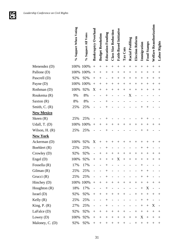

|                   | % Support When Voting | % Support All Votes | <b>Bankruptcy Overhaul</b> | <b>Budget Resolution</b> | <b>Education Funding</b> | <b>Class Size Reduction</b> | Faith-Based Initiative | Tax Cuts           | <b>Racial Profiling</b> | Election Reform    | Immigration    | <b>Food Stamps</b> | Welfare Reauthorization | Labor Rights |
|-------------------|-----------------------|---------------------|----------------------------|--------------------------|--------------------------|-----------------------------|------------------------|--------------------|-------------------------|--------------------|----------------|--------------------|-------------------------|--------------|
| Menendez (D)      | 100%                  | 100%                | $^{+}$                     | $^{+}$                   | $^{+}$                   | $^{+}$                      | $^{+}$                 | $\overline{+}$     | $^{+}$                  | $^{+}$             | $^{+}$         | $^{+}$             | $^{+}$                  | $^{+}$       |
| Pallone (D)       | 100%                  | 100%                | $^{+}$                     | $^{+}$                   | $^{+}$                   | $^{+}$                      | $^{+}$                 | $\overline{+}$     | $^{+}$                  | $^{+}$             | $^{+}$         | $^{+}$             | $^{+}$                  | $^+$         |
| Pascrell (D)      | 92%                   | 92%                 | $^{+}$                     | $^{+}$                   |                          | $\overline{+}$              | $^{+}$                 | $^{+}$             | $^{+}$                  | $^{+}$             | $^{+}$         | $^{+}$             | $^{+}$                  | $^+$         |
| Payne (D)         | 100%                  | 100%                | $^{+}$                     | $^{+}$                   | $^+$                     | $^{+}$                      | $+$                    | $^{+}$             | $^{+}$                  | $^{+}$             | $^+$           | $^{+}$             | $^{+}$                  | $^+$         |
| Rothman (D)       | 100%                  | 92%                 | X                          | $+$                      | $^{+}$                   | $^{+}$                      | $^{+}$                 | $^{+}$             | $^{+}$                  | $^{+}$             | $^{+}$         | $+$                | $^{+}$                  | $^{+}$       |
| Roukema (R)       | 9%                    | 8%                  |                            |                          | $^+$                     |                             |                        |                    | X                       |                    |                |                    |                         |              |
| Saxton $(R)$      | 8%                    | 8%                  |                            |                          |                          |                             |                        |                    |                         |                    |                |                    |                         |              |
| Smith, $C. (R)$   | 25%                   | 25%                 |                            |                          |                          |                             |                        |                    |                         |                    |                | $^+$               |                         |              |
| <b>New Mexico</b> |                       |                     |                            |                          |                          |                             |                        |                    |                         |                    |                |                    |                         |              |
| Skeen (R)         | 25%                   | 25%                 |                            |                          |                          |                             |                        |                    |                         |                    |                | $^{+}$             |                         |              |
| Udall, $T. (D)$   | 100%                  | 100%                | $^{+}$                     | $^+$                     | $^{+}$                   | $^{+}$                      | $\overline{+}$         | $\overline{+}$     | $^{+}$                  | $^{+}$             | $^+$           | $^{+}$             | $^{+}$                  | $^+$         |
| Wilson, $H. (R)$  | 25%                   | 25%                 |                            |                          | $^+$                     |                             |                        |                    |                         |                    | $\overline{+}$ | $^{+}$             |                         |              |
| <b>New York</b>   |                       |                     |                            |                          |                          |                             |                        |                    |                         |                    |                |                    |                         |              |
| Ackerman (D)      | 100%                  | 92%                 | X                          | $^{+}$                   | $^+$                     | $^{+}$                      | $^+$                   | $^+$               | $^{+}$                  | $\hspace{0.1mm} +$ | $^+$           | $^{+}$             | $^+$                    | $^+$         |
| Boehlert (R)      | 25%                   | 25%                 |                            |                          | $^+$                     |                             |                        |                    |                         |                    | $^+$           | $^{+}$             |                         |              |
| Crowley (D)       | 92%                   | 92%                 |                            | $^+$                     | $^{+}$                   | $^{+}$                      | $^+$                   | $^+$               | $^{+}$                  | $\overline{+}$     | $^+$           | $^{+}$             | $^+$                    | $^+$         |
| Engel $(D)$       | 100%                  | 92%                 | $^{+}$                     | $^+$                     | $^{+}$                   | $^{+}$                      | X                      | $\hspace{0.1mm} +$ | $^{+}$                  | $^{+}$             | $^+$           | $^{+}$             | $^{+}$                  | $^+$         |
| Fossella $(R)$    | 17%                   | 17%                 | -                          |                          | $^+$                     |                             | -                      |                    |                         |                    | $^+$           |                    |                         |              |
| Gilman $(R)$      | 25%                   | 25%                 |                            |                          | $^+$                     |                             |                        |                    |                         |                    | $^+$           | $^{+}$             |                         |              |
| Grucci (R)        | 25%                   | 25%                 |                            |                          | $^{+}$                   |                             |                        |                    |                         |                    | $^{+}$         | $^{+}$             |                         |              |
| Hinchey $(D)$     | 100%                  | 100%                |                            | $^{+}$                   | $^{+}$                   | $\boldsymbol{+}$            |                        |                    | $\boldsymbol{+}$        | $\boldsymbol{+}$   |                | $\boldsymbol{+}$   | $^{+}$                  | $^+$         |
| Houghton $(R)$    | 18%                   | 17%                 |                            |                          | $+$                      |                             |                        |                    |                         |                    | $+$            | X                  |                         |              |
| Israel $(D)$      | 92%                   | 92%                 | $^{+}$                     | $+$                      | $^{+}$                   | $+$                         | $^{+}$                 | $^{+}$             |                         |                    | $^{+}$         | $^{+}$             | $^{+}$                  | $^+$         |
| Kelly $(R)$       | 25%                   | 25%                 |                            |                          | $^{+}$                   |                             |                        |                    |                         |                    | $^{+}$         | $+$                |                         |              |
| King, P. $(R)$    | 27%                   | 25%                 |                            |                          | $^{+}$                   |                             |                        |                    |                         |                    | $^{+}$         | $^{+}$             | X                       |              |
| LaFalce $(D)$     | 92%                   | 92%                 | $+$                        | $^{+}$                   | $^{+}$                   | $^{+}$                      | $\! +$                 | $^{+}$             |                         | $^{+}$             | $^{+}$         | $+$                | $+$                     | $^{+}$       |
| Lowey $(D)$       | 100%                  | 92%                 | $\boldsymbol{+}$           |                          |                          | $\boldsymbol{+}$            | $+$                    | $^{+}$             | $\boldsymbol{+}$        | $^{+}$             | X              |                    | $^{+}$                  | $^{+}$       |
| Maloney, C. (D)   | 92%                   | 92%                 |                            | $^{+}$                   | $^{+}$                   | $^{+}$                      | $^{+}$                 | $^{+}$             | $\qquad \qquad -$       | $^{+}$             | $^{+}$         | $^{+}$             | $^{+}$                  | $^{+}$       |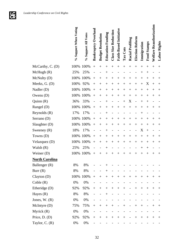

|                       | % Support When Voting | <b>Support All Votes</b><br>$\mathcal{S}_{\mathbf{0}}$ | <b>Bankruptcy Overhaul</b> | <b>Budget Resolution</b> | <b>Education Funding</b> | <b>Class Size Reduction</b> | Faith-Based Initiative | Tax Cuts | <b>Racial Profiling</b>  | Election Reform | Immigration                      | <b>Food Stamps</b> | Welfare Reauthorization | Labor Rights                     |
|-----------------------|-----------------------|--------------------------------------------------------|----------------------------|--------------------------|--------------------------|-----------------------------|------------------------|----------|--------------------------|-----------------|----------------------------------|--------------------|-------------------------|----------------------------------|
| McCarthy, C. (D)      | 100%                  | 100%                                                   | $^{+}$                     | $^{+}$                   | $^{+}$                   | $^{+}$                      | $^{+}$                 | $^{+}$   | $^{+}$                   | $^{+}$          | $^{+}$                           | $^{+}$             | $^{+}$                  | $^{+}$                           |
| McHugh(R)             | 25%                   | 25%                                                    |                            |                          | $^+$                     |                             |                        |          |                          |                 | $^+$                             | $^{+}$             |                         |                                  |
| McNulty (D)           | 100%                  | 100%                                                   | $^{+}$                     | $\,+\,$                  | $^{+}$                   | $\overline{+}$              | $^{+}$                 | $^+$     | $^{+}$                   | $^{+}$          | $\hspace{0.1mm} +$               | $^{+}$             | $^+$                    | $\hspace{0.1mm} +$               |
| Meeks, G. (D)         | 100%                  | 92%                                                    | $^{+}$                     | $^+$                     | $\,{}^+$                 | $^{+}$                      | $^+$                   | $^+$     | $^{+}$                   | $^{+}$          | $^{+}$                           | X                  | $^{+}$                  | $\hspace{0.1mm} +$               |
| Nadler (D)            | 100%                  | 100%                                                   | $^{+}$                     | $^{+}$                   | $^{+}$                   | $^{+}$                      | $^{+}$                 | $^{+}$   | $^{+}$                   | $^{+}$          | $^{+}$                           | $^{+}$             | $^{+}$                  | $^+$                             |
| Owens $(D)$           | 100%                  | 100%                                                   | $^{+}$                     | $^+$                     | $^{+}$                   | $^{+}$                      | $^+$                   | $^{+}$   | $^{+}$                   | $^{+}$          | $^+$                             | $^{+}$             | $^+$                    | $^+$                             |
| Quinn(R)              | 36%                   | 33%                                                    |                            |                          | $^+$                     |                             |                        | $^+$     | X                        |                 | $^+$                             | $^{+}$             |                         |                                  |
| Rangel (D)            | 100%                  | 100%                                                   | $^{+}$                     | $^+$                     | $^{+}$                   | $^+$                        | $^+$                   | $^+$     | $^{+}$                   | $^{+}$          | $^+$                             | $^+$               | $^+$                    | $^+$                             |
| Reynolds $(R)$        | 17%                   | 17%                                                    |                            |                          | $^+$                     |                             |                        |          |                          |                 | $^+$                             |                    |                         |                                  |
| Serrano (D)           | 100%                  | 100%                                                   | $^{+}$                     | $^{+}$                   | $^{+}$                   | $^{+}$                      | $^{+}$                 | $^{+}$   | $^{+}$                   | $+$             | $\hspace{0.1mm} +$               | $^{+}$             | $^+$                    | $\hspace{0.1mm} +$               |
| Slaughter (D)         | 100%                  | 100%                                                   | $^{+}$                     | $^{+}$                   | $^{+}$                   | $^{+}$                      | $^{+}$                 | $^{+}$   | $^{+}$                   | $^{+}$          | $^{+}$                           | $^{+}$             | $^{+}$                  | $\hspace{0.1mm} +$               |
| Sweeney $(R)$         | 18%                   | 17%                                                    |                            |                          | $^+$                     |                             |                        |          |                          |                 | X                                | $^{+}$             |                         |                                  |
| Towns (D)             | 100%                  | 100%                                                   | $^{+}$                     | $^+$                     | $^{+}$                   | $^{+}$                      | $^{+}$                 | $^+$     | $\overline{+}$           | $^{+}$          | $^{+}$                           | $^{+}$             | $^+$                    | $\hspace{0.1mm} +\hspace{0.1mm}$ |
| Velazquez (D)         | 100%                  | 100%                                                   | $^{+}$                     | $^{+}$                   | $^{+}$                   | $^{+}$                      | $^{+}$                 | $^{+}$   | $^{+}$                   | $^{+}$          | $^{+}$                           | $^{+}$             | $^{+}$                  | $^+$                             |
| Walsh $(R)$           | 25%                   | 25%                                                    |                            |                          | $^+$                     |                             |                        |          |                          |                 | $\hspace{0.1mm} +\hspace{0.1mm}$ | $^{+}$             |                         |                                  |
| Weiner (D)            | 100%                  | 100%                                                   | $^{+}$                     | $^+$                     | $^{+}$                   | $^+$                        | $^+$                   | $^+$     | $\hspace{0.1mm} +$       | $^+$            | $^{+}$                           | $^{+}$             | $\hspace{0.1mm} +$      | $\hspace{0.1mm} +\hspace{0.1mm}$ |
| <b>North Carolina</b> |                       |                                                        |                            |                          |                          |                             |                        |          |                          |                 |                                  |                    |                         |                                  |
| Ballenger (R)         | 8%                    | $8\%$                                                  |                            |                          | $^+$                     |                             |                        |          |                          |                 |                                  |                    |                         |                                  |
| Burr(R)               | 8%                    | 8%                                                     |                            |                          |                          |                             |                        |          |                          |                 |                                  |                    |                         |                                  |
| Clayton (D)           | 100%                  | 100%                                                   | $^{+}$                     | $^{+}$                   | $+$                      | $^{+}$                      | $+$                    |          | $\boldsymbol{+}$         | $^{+}$          | $+$                              | $+$                | $^{+}$                  | $^+$                             |
| Coble(R)              | 0%                    | $0\%$                                                  |                            |                          |                          |                             |                        |          |                          |                 |                                  |                    |                         |                                  |
| Etheridge (D)         | 92%                   | 92%                                                    |                            | $^{+}$                   | $^{+}$                   | $+$                         | $^{+}$                 | $\! +$   | $\overline{\phantom{0}}$ | $+$             | $+$                              | $^{+}$             | $+$                     | $^+$                             |
| Hayes $(R)$           | 8%                    | 8%                                                     |                            |                          | $^{+}$                   |                             |                        |          |                          |                 |                                  |                    |                         |                                  |
| Jones, $W. (R)$       | 0%                    | 0%                                                     |                            |                          |                          |                             |                        |          |                          |                 |                                  |                    |                         |                                  |
| Mclntyre(D)           | 75%                   | 75%                                                    | $^{+}$                     | $^{+}$                   | $+$                      | $+$                         |                        | $^{+}$   |                          | $^{+}$          | $^{+}$                           |                    | $^{+}$                  | $\hspace{0.1mm} +$               |
| Myrick $(R)$          | 0%                    | $0\%$                                                  |                            |                          |                          |                             |                        |          |                          |                 |                                  |                    |                         |                                  |
| Price, $D. (D)$       | 92%                   | 92%                                                    | $^{+}$                     | $^+$                     | $^{+}$                   | $^{+}$                      | $^{+}$                 | $^{+}$   |                          | $^{+}$          | $^{+}$                           | $^{+}$             | $^{+}$                  | $^{+}$                           |
| Taylor, C. $(R)$      | $0\%$                 | $0\%$                                                  |                            |                          |                          |                             |                        |          |                          |                 |                                  |                    |                         |                                  |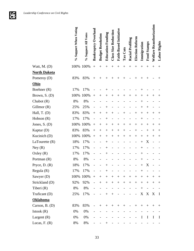**GFG** 

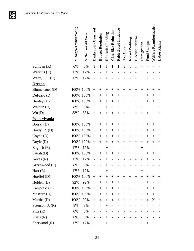

|                     | % Support When Voting | % Support All Votes | <b>Bankruptcy Overhaul</b> | <b>Budget Resolution</b> | <b>Education Funding</b> | <b>Class Size Reduction</b> | <b>Faith-Based Initiative</b> | Tax Cuts       | <b>Racial Profiling</b> | Election Reform    | Immigration | Food Stamps                      | <b>Welfare Reauthorization</b> | Labor Rights       |
|---------------------|-----------------------|---------------------|----------------------------|--------------------------|--------------------------|-----------------------------|-------------------------------|----------------|-------------------------|--------------------|-------------|----------------------------------|--------------------------------|--------------------|
| Sullivan (R)        | 0%                    | 0%                  | I                          | I                        | I                        | I                           | I                             | I              | Ι                       | I                  |             |                                  |                                |                    |
| Watkins (R)         | 17%                   | 17%                 |                            |                          | $^+$                     |                             |                               |                |                         |                    |             |                                  |                                |                    |
| Watts, J.C. $(R)$   | 17%                   | 17%                 |                            |                          | $^{+}$                   |                             |                               |                |                         |                    | $^+$        |                                  |                                |                    |
| <b>Oregon</b>       |                       |                     |                            |                          |                          |                             |                               |                |                         |                    |             |                                  |                                |                    |
| Blumenauer (D)      | 100%                  | 100%                | $^{+}$                     | $^+$                     | $^+$                     |                             |                               |                |                         | $^{+}$             | $^+$        | $^+$                             | ╇                              | $^+$               |
| DeFazio (D)         | 100%                  | 100%                | $^{+}$                     | $^+$                     | $^{+}$                   | $^{+}$                      | $^+$                          | $^{+}$         | $^{+}$                  | $^+$               | $^{+}$      | $^{+}$                           | $\,+\,$                        | $^+$               |
| Hooley (D)          | 100%                  | 100%                | $^{+}$                     | $^+$                     | $^{+}$                   | $\overline{+}$              | $^{+}$                        | $^{+}$         | $^{+}$                  | $^{+}$             | $^{+}$      | $^{+}$                           | $^+$                           | $^+$               |
| Walden (R)          | 8%                    | 8%                  |                            |                          | $^+$                     |                             |                               |                |                         |                    |             |                                  |                                |                    |
| Wu(D)               | 83%                   | 83%                 | $^{+}$                     | $^{+}$                   | $^{+}$                   | $\overline{+}$              | $^+$                          |                |                         | $\, +$             | $^+$        | $^{+}$                           |                                | $\hspace{0.1mm} +$ |
| <b>Pennsylvania</b> |                       |                     |                            |                          |                          |                             |                               |                |                         |                    |             |                                  |                                |                    |
| Borski (D)          |                       | 100% 100%           | $^{+}$                     | $^+$                     | $\hspace{0.1mm} +$       | $^{+}$                      | $\overline{+}$                | $\overline{+}$ | $^{+}$                  | $^+$               | $^{+}$      | $^{+}$                           | $^+$                           | $\hspace{0.1mm} +$ |
| Brady, R. (D)       | 100%                  | 100%                | $^{+}$                     | $^+$                     | $^{+}$                   | $^{+}$                      | $^{+}$                        | $^{+}$         | $^{+}$                  | $^{+}$             | $^{+}$      | $^{+}$                           | $^{+}$                         | $^{+}$             |
| Coyne $(D)$         |                       | 100% 100%           | $^{+}$                     | $^{+}$                   | $^{+}$                   | $^{+}$                      | $^{+}$                        | $^{+}$         | $^{+}$                  | $^{+}$             | $^{+}$      | $^{+}$                           | $\hspace{0.1mm} +$             | $\hspace{0.1mm} +$ |
| Doyle (D)           | 100%                  | 100%                | $^{+}$                     | $^{+}$                   | $^{+}$                   | $^{+}$                      | $^{+}$                        | $^{+}$         | $^{+}$                  | $^{+}$             | $^{+}$      | $^{+}$                           | $\hspace{0.1mm} +$             | $\hspace{0.1mm} +$ |
| English $(R)$       | 17%                   | 17%                 |                            |                          | $^{+}$                   |                             |                               |                |                         |                    | $^{+}$      |                                  |                                |                    |
| Fattah (D)          | 100%                  | 100%                | $^{+}$                     | $^+$                     | $^{+}$                   | $\hspace{0.1mm} +$          | $^{+}$                        | $^{+}$         | $^{+}$                  | $\hspace{0.1mm} +$ | $^{+}$      | $\hspace{0.1mm} +\hspace{0.1mm}$ | $^+$                           | $^+$               |
| Gekas (R)           | 17%                   | 17%                 |                            |                          |                          |                             |                               |                |                         |                    |             | $\hspace{0.1mm} +$               |                                |                    |
| Greenwood (R)       | 8%                    | 8%                  |                            |                          | $^{+}$                   |                             |                               |                |                         |                    |             |                                  |                                |                    |
| Hart $(R)$          | 17%                   | 17%                 |                            |                          |                          |                             |                               |                |                         |                    |             |                                  |                                |                    |
| Hoeffel $(D)$       | 100%                  | 100%                | $\! + \!$                  | $^{+}$                   | $\! +$                   | $\boldsymbol{+}$            | $\boldsymbol{+}$              | $^{+}$         | $\boldsymbol{+}$        | $\boldsymbol{+}$   | $^{+}$      | $^{+}$                           | $^+$                           | $^+$               |
| Holden (D)          | 92%                   | 92%                 | $^{+}$                     | $^{+}$                   |                          | $\boldsymbol{+}$            | $^{+}$                        | $^{+}$         | $+$                     | $\! + \!\!\!\!$    |             | $^{+}$                           |                                | $\hspace{0.1mm} +$ |
| Kanjorski (D)       | 100%                  | 100%                | $\qquad \qquad +$          | $^{+}$                   | $^{+}$                   | $\boldsymbol{+}$            | $^{+}$                        | $^{+}$         | $^{+}$                  | $^{+}$             | $^{+}$      | $^{+}$                           | $^+$                           | $^{+}$             |
| Mascara (D)         | 100%                  | 100%                | $\boldsymbol{+}$           | $^{+}$                   | $^{+}$                   | $+$                         | $^{+}$                        | $^{+}$         | $^{+}$                  | $+$                | $^{+}$      | $^{+}$                           | $^{+}$                         | $^{+}$             |
| Murtha (D)          | 100%                  | 92%                 |                            | $^{+}$                   | $^{+}$                   | $+$                         | $+$                           | $^{+}$         | $+$                     | $+$                | $^{+}$      | $+$                              | X                              | $^{+}$             |
| Peterson, $J. (R)$  | 8%                    | 8%                  |                            |                          | $^{+}$                   |                             |                               |                |                         |                    |             |                                  |                                |                    |
| Pitts $(R)$         | 0%                    | 0%                  |                            |                          |                          |                             |                               |                |                         |                    |             |                                  |                                |                    |
| Platts $(R)$        | 8%                    | 8%                  |                            |                          | $^{+}$                   |                             |                               |                |                         |                    |             |                                  |                                |                    |
| Sherwood (R)        | 17%                   | 17%                 |                            |                          | $^{+}$                   |                             |                               |                |                         |                    |             | $^+$                             |                                |                    |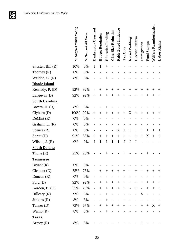

|                       | % Support When Voting | % Support All Votes | Bankruptcy Overhaul      | <b>Budget Resolution</b> | <b>Education Funding</b> | <b>Class Size Reduction</b> | <b>Faith-Based Initiative</b> | Tax Cuts           | <b>Racial Profiling</b> | Election Reform          | Immigration    | Food Stamps              | Welfare Reauthorization | Labor Rights       |
|-----------------------|-----------------------|---------------------|--------------------------|--------------------------|--------------------------|-----------------------------|-------------------------------|--------------------|-------------------------|--------------------------|----------------|--------------------------|-------------------------|--------------------|
| Shuster, Bill (R)     | 10%                   | 8%                  | I                        | I                        | $^{+}$                   |                             |                               |                    |                         |                          |                |                          |                         |                    |
| Toomey $(R)$          | 0%                    | 0%                  |                          |                          |                          |                             |                               |                    |                         |                          |                |                          |                         |                    |
| Weldon, $C. (R)$      | 8%                    | 8%                  |                          |                          |                          |                             |                               |                    |                         |                          |                |                          |                         |                    |
| <b>Rhode Island</b>   |                       |                     |                          |                          |                          |                             |                               |                    |                         |                          |                |                          |                         |                    |
| Kennedy, P. (D)       | 92%                   | 92%                 |                          |                          |                          |                             | $^+$                          | $^+$               | $\, +$                  | $^+$                     | $^+$           | $^+$                     | $^+$                    | $^+$               |
| Langevin (D)          | 92%                   | 92%                 | $^{+}$                   | $^+$                     | $^+$                     | $^{+}$                      | $^+$                          | ╅                  |                         | $^+$                     | $^+$           | $^+$                     | $\,+\,$                 | $\hspace{0.1mm} +$ |
| <b>South Carolina</b> |                       |                     |                          |                          |                          |                             |                               |                    |                         |                          |                |                          |                         |                    |
| Brown, $H. (R)$       | 8%                    | 8%                  |                          |                          |                          |                             |                               |                    |                         |                          |                |                          |                         |                    |
| Clyburn(D)            | 100%                  | 92%                 | $^{+}$                   | $^+$                     | $^{+}$                   | $^{+}$                      | $^+$                          | $+$                | X                       | $^{+}$                   | $^{+}$         | $^{+}$                   | $^+$                    | $\hspace{0.1mm} +$ |
| DeMint (R)            | 0%                    | 0%                  |                          |                          |                          |                             |                               |                    |                         |                          |                |                          |                         |                    |
| Graham, L. (R)        | 0%                    | 0%                  |                          |                          |                          |                             |                               |                    |                         |                          |                |                          |                         |                    |
| Spence $(R)$          | $0\%$                 | 0%                  |                          |                          |                          |                             | X                             | I                  | I                       | I                        | I              | I                        | I                       | I                  |
| Spratt (D)            | 91%                   | 83%                 | $^{+}$                   |                          | $\overline{ }$           | $\overline{+}$              | $^+$                          |                    |                         |                          | $^{+}$         | X                        | $^{+}$                  | $^{+}$             |
| Wilson, J. (R)        | 0%                    | 0%                  | I                        | I                        | I                        | Ι                           | I                             | I                  | I                       | I                        |                |                          |                         |                    |
| <b>South Dakota</b>   |                       |                     |                          |                          |                          |                             |                               |                    |                         |                          |                |                          |                         |                    |
| Thune $(R)$           | 25%                   | 25%                 |                          |                          |                          |                             |                               |                    |                         |                          |                |                          |                         |                    |
| <b>Tennessee</b>      |                       |                     |                          |                          |                          |                             |                               |                    |                         |                          |                |                          |                         |                    |
| Bryant (R)            | 0%                    | 0%                  |                          |                          |                          |                             |                               |                    |                         |                          |                |                          |                         |                    |
| Clement $(D)$         | 75%                   | 75%                 | $\overline{\phantom{0}}$ | $^{+}$                   | $^{+}$                   | $^{+}$                      | $^{+}$                        | $\hspace{0.1mm} +$ |                         | $^+$                     |                | $^+$                     | $^+$                    | $^+$               |
| Duncan $(R)$          | 0%                    | 0%                  |                          |                          |                          |                             |                               |                    |                         |                          |                |                          |                         |                    |
| Ford $(D)$            | 92%                   | 92%                 | $\overline{\phantom{0}}$ | $+$                      | $\ddot{}$                | $+$                         |                               | $+$                | $^{+}$                  | $^{+}$                   |                | $^{+}$                   | $^{+}$                  | $^{+}$             |
| Gordon, B. (D)        | 75%                   | 75%                 |                          | $+$                      |                          | $+$                         |                               | $\boldsymbol{+}$   | $\qquad \qquad -$       | $^{+}$                   | $\overline{a}$ | $+$                      | $^{+}$                  | $^{+}$             |
| Hilleary $(R)$        | 9%                    | 8%                  |                          |                          | $\ddot{}$                | $\overline{\phantom{a}}$    |                               |                    |                         | $\overline{\phantom{a}}$ | X              | $\overline{\phantom{0}}$ |                         |                    |
| Jenkins $(R)$         | 8%                    | 8%                  |                          |                          | $+$                      |                             |                               |                    |                         |                          |                |                          |                         |                    |
| Tanner (D)            | 73%                   | 67%                 | $\overline{\phantom{0}}$ | $+$                      | $\boldsymbol{+}$         | $+$                         | $+$                           | $\boldsymbol{+}$   |                         | $\overline{\phantom{a}}$ | $+$            | $+$                      | X                       | $+$                |
| Wamp $(R)$            | 8%                    | 8%                  |                          |                          | $^{+}$                   |                             |                               |                    |                         |                          |                |                          |                         |                    |
| <b>Texas</b>          |                       |                     |                          |                          |                          |                             |                               |                    |                         |                          |                |                          |                         |                    |
| Armey $(R)$           | 8%                    | 8%                  |                          |                          |                          |                             |                               |                    |                         |                          | $\,+\,$        |                          |                         |                    |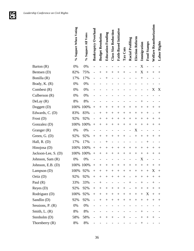

|                     | % Support When Voting | % Support All Votes | <b>Bankruptcy Overhaul</b> | <b>Budget Resolution</b> | <b>Education Funding</b> | Class Size Reduction | <b>Faith-Based Initiative</b> | Tax Cuts | <b>Racial Profiling</b>  | Election Reform | Immigration | Food Stamps | <b>Welfare Reauthorization</b> | Labor Rights       |
|---------------------|-----------------------|---------------------|----------------------------|--------------------------|--------------------------|----------------------|-------------------------------|----------|--------------------------|-----------------|-------------|-------------|--------------------------------|--------------------|
| Barton (R)          | 0%                    | 0%                  |                            |                          |                          |                      |                               |          |                          |                 | X           |             |                                |                    |
| Bentsen (D)         | 82%                   | 75%                 |                            | $^+$                     | $\hspace{0.1mm} +$       | $^{+}$               | $^+$                          | $^{+}$   |                          | $^{+}$          | X           | $^{+}$      | $^+$                           | $\hspace{0.1mm} +$ |
| Bonilla (R)         | 17%                   | 17%                 |                            |                          | $^+$                     |                      |                               |          |                          |                 | $^{+}$      |             |                                |                    |
| Brady, K. (R)       | 0%                    | 0%                  |                            |                          |                          |                      |                               |          |                          |                 |             |             |                                |                    |
| Combest $(R)$       | 0%                    | 0%                  |                            |                          |                          |                      |                               |          |                          |                 |             |             | X                              | X                  |
| Culberson $(R)$     | 0%                    | 0%                  |                            |                          |                          |                      |                               |          |                          |                 |             |             |                                |                    |
| DeLay(R)            | 8%                    | 8%                  |                            |                          |                          |                      |                               |          |                          |                 |             |             |                                |                    |
| Doggett (D)         | 100%                  | 100%                | $^{+}$                     | $\,+\,$                  | $^+$                     | $^{+}$               | $^+$                          | $^{+}$   | $^{+}$                   | $\, +$          | $^{+}$      | $^{+}$      | $^+$                           | $\hspace{0.1mm} +$ |
| Edwards, C. (D)     | 83%                   | 83%                 |                            | $^+$                     | $^{+}$                   | $^{+}$               | $^+$                          | $^{+}$   | $^{+}$                   | $^+$            | $^{+}$      | $^{+}$      |                                | $^{+}$             |
| Frost(D)            | 92%                   | 92%                 |                            | $\overline{+}$           | $^{+}$                   | $^{+}$               | $+$                           | $^{+}$   | $^{+}$                   | $^{+}$          | $^{+}$      | $^{+}$      | $^{+}$                         | $^{+}$             |
| Gonzalez (D)        | 100%                  | 100%                | $^{+}$                     | $\overline{+}$           | $^{+}$                   | $^{+}$               | $^{+}$                        | $^{+}$   | $^{+}$                   | $^{+}$          | $^{+}$      | $^{+}$      | $\hspace{0.1mm} +$             | $^{+}$             |
| Granger $(R)$       | $0\%$                 | 0%                  |                            |                          |                          |                      |                               |          |                          | X               |             |             |                                |                    |
| Green, G. (D)       | 92%                   | 92%                 | $^{+}$                     | $^+$                     | $^+$                     | $^{+}$               | $^{+}$                        | $^+$     |                          | $^{+}$          | $^{+}$      | $^{+}$      | $^+$                           | $^+$               |
| Hall, $R. (D)$      | 17%                   | 17%                 |                            |                          | $^+$                     |                      |                               |          |                          |                 |             | $^{+}$      |                                |                    |
| Hinojosa (D)        | 100%                  | 100%                | $^{+}$                     | $^+$                     | $^{+}$                   | $^{+}$               | $^{+}$                        | $^{+}$   | $^{+}$                   | $^{+}$          | $^{+}$      | $^{+}$      | $^+$                           | $^+$               |
| Jackson-Lee, S. (D) | 100%                  | 100%                | $^{+}$                     | $\hspace{0.1mm} +$       | $^{+}$                   | $^{+}$               | $^{+}$                        | $^{+}$   | $^{+}$                   | $^+$            | $^{+}$      | $^{+}$      | $\hspace{0.1mm} +$             | $^+$               |
| Johnson, Sam (R)    | 0%                    | 0%                  |                            |                          |                          |                      |                               |          |                          |                 | X           |             |                                |                    |
| Johnson, E.B. (D)   |                       | 100% 100%           | $^{+}$                     | $^{+}$                   | $^{+}$                   | $\,+\,$              | $^{+}$                        | $^{+}$   | $^{+}$                   | $^{+}$          | $^{+}$      | $^{+}$      | $^+$                           | $^+$               |
| Lampson $(D)$       | 100%                  | 92%                 | $^{+}$                     | $\hspace{0.1mm} +$       | $^{+}$                   | $^{+}$               | $^{+}$                        | $^{+}$   | $^{+}$                   | $^+$            | $^{+}$      | $^{+}$      | X                              | $^{+}$             |
| Ortiz $(D)$         | 92%                   | 92%                 | $\! + \!$                  | $^{+}$                   | $^{+}$                   | $\boldsymbol{+}$     |                               | $^{+}$   | $\qquad \qquad -$        | $^{+}$          | $^{+}$      | $^{+}$      | $^+$                           | $\hspace{0.1mm} +$ |
| Paul $(R)$          | 33%                   | 33%                 | $\overline{\phantom{0}}$   | $^{+}$                   |                          |                      |                               |          | $+$                      |                 | $\! +$      |             | $^{+}$                         |                    |
| Reyes $(D)$         | 92%                   | 92%                 | $^{+}$                     | $^{+}$                   | $\! +$                   | $+$                  | $\! +$                        | $^{+}$   | $\overline{\phantom{0}}$ | $^{+}$          | $^{+}$      | $+$         | $^{+}$                         | $^{+}$             |
| Rodriguez (D)       | 100%                  | 92%                 |                            | $+$                      | $^{+}$                   | $+$                  | $+$                           |          | $^{+}$                   | $^{+}$          | $+$         | X           | $^{+}$                         | $^{+}$             |
| Sandlin (D)         | 92%                   | 92%                 |                            | $^{+}$                   | $\! +$                   | $+$                  | $+$                           | $^{+}$   | $+$                      | $^{+}$          | $+$         | $^{+}$      | $^+$                           | $^{+}$             |
| Sessions, $P. (R)$  | 0%                    | 0%                  |                            |                          |                          |                      |                               |          |                          |                 |             |             |                                |                    |
| Smith, $L(R)$       | 8%                    | 8%                  |                            |                          |                          |                      |                               |          |                          |                 | $^{+}$      |             |                                |                    |
| Stenholm (D)        | 58%                   | 58%                 |                            | $^{+}$                   | $+$                      | $^{+}$               |                               | $^{+}$   |                          |                 | $^{+}$      | $^{+}$      | $^+$                           |                    |
| Thornberry $(R)$    | 8%                    | 8%                  |                            |                          |                          |                      |                               |          |                          |                 | $^{+}$      |             |                                |                    |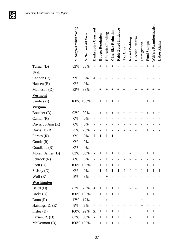**GFG** 

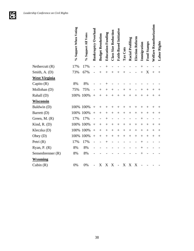|                      | % Support When Voting | % Support All Votes | <b>Bankruptcy Overhaul</b> | <b>Budget Resolution</b> | <b>Education Funding</b> | Class Size Reduction | Faith-Based Initiative | Tax Cuts       | Racial Profiling | Election Reform | Immigration    | <b>Food Stamps</b> | Welfare Reauthorization | Labor Rights       |
|----------------------|-----------------------|---------------------|----------------------------|--------------------------|--------------------------|----------------------|------------------------|----------------|------------------|-----------------|----------------|--------------------|-------------------------|--------------------|
| Nethercutt $(R)$     | 17%                   | 17%                 |                            |                          |                          |                      |                        |                |                  |                 | $\overline{+}$ |                    |                         |                    |
| Smith, A. (D)        | 73%                   | 67%                 |                            | $\overline{+}$           | $\overline{+}$           | $^{+}$               |                        |                |                  |                 |                | X                  | $\ddot{}$               | $^{+}$             |
| <b>West Virginia</b> |                       |                     |                            |                          |                          |                      |                        |                |                  |                 |                |                    |                         |                    |
| Capito $(R)$         | 8%                    | 8%                  |                            |                          |                          |                      |                        |                |                  |                 |                |                    |                         |                    |
| Mollohan (D)         | 75%                   | 75%                 |                            | $\,+\,$                  | $\overline{+}$           | $^{+}$               |                        |                | $^{+}$           |                 |                | $^{+}$             | $\overline{+}$          | $\hspace{0.1mm} +$ |
| Rahall (D)           | 100%                  | 100%                | $^{+}$                     | $\,+\,$                  |                          | $\overline{+}$       | $\, +$                 |                | $^{+}$           |                 |                | $^{+}$             | $\,+\,$                 | $^+$               |
| Wisconsin            |                       |                     |                            |                          |                          |                      |                        |                |                  |                 |                |                    |                         |                    |
| Baldwin (D)          | 100%                  | 100%                | $^{+}$                     | $^{+}$                   |                          | $^{+}$               | $\mathrm{+}$           |                | $^+$             |                 |                | $^+$               | $\, +$                  | $^+$               |
| Barrett (D)          | 100%                  | 100%                | $+$                        | $^{+}$                   | $^{+}$                   | $^{+}$               | $^{+}$                 | $\overline{+}$ | $^{+}$           | $^{+}$          | $\overline{+}$ | $+$                | $^{+}$                  | $^{+}$             |
| Green, $M. (R)$      | 17%                   | 17%                 |                            |                          | $\, +$                   |                      |                        |                |                  |                 | ╇              |                    |                         |                    |
| Kind, R. $(D)$       | 100%                  | 100%                | $+$                        | $^{+}$                   | $^{+}$                   | $^{+}$               | $^{+}$                 |                | $^{+}$           | $^{+}$          | $\overline{+}$ | $^{+}$             | $^{+}$                  | $^{+}$             |
| Kleczka (D)          | 100%                  | 100%                | $^{+}$                     | $^{+}$                   | $^+$                     | $^{+}$               | $^{+}$                 | $^+$           | $^{+}$           | $^{+}$          | $^+$           | $^{+}$             | $^{+}$                  | $^+$               |
| Obey (D)             | 100%                  | 100%                | $+$                        | $^{+}$                   | $^{+}$                   | $^{+}$               | $^{+}$                 |                | $^{+}$           | $^{+}$          | $\overline{+}$ | $^{+}$             | $^{+}$                  | $^{+}$             |
| Petri (R)            | 17%                   | 17%                 |                            |                          |                          |                      |                        |                |                  |                 | ┿              |                    |                         |                    |
| Ryan, P. (R)         | 8%                    | 8%                  |                            |                          |                          |                      |                        |                |                  |                 |                |                    |                         |                    |
| Sensenbrenner (R)    | 8%                    | 8%                  |                            |                          |                          |                      |                        |                |                  |                 |                |                    |                         |                    |
| <b>Wyoming</b>       |                       |                     |                            |                          |                          |                      |                        |                |                  |                 |                |                    |                         |                    |
| Cubin $(R)$          | 0%                    | 0%                  |                            | X                        | X                        | X                    |                        | X              | X                | X               |                |                    |                         |                    |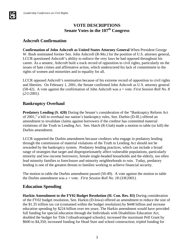# **VOTE DESCRIPTIONS Senate Votes in the 107th Congress**

#### **Ashcroft Confirmation**

**Confirmation of John Ashcroft as United States Attorney General** When President George W. Bush nominated former Sen. John Ashcroft (R-Mo.) for the position of U.S. attorney general, LCCR questioned Ashcroft's ability to enforce the very laws he had opposed throughout his career. As a senator, Ashcroft built a track record of opposition to civil rights, particularly on the issues of hate crimes and affirmative action, which underscored his lack of commitment to the rights of women and minorities and to equality for all.

LCCR opposed Ashcroft's nomination because of his extreme record of opposition to civil rights and liberties. On February 1, 2001, the Senate confirmed John Ashcroft as U.S. attorney general (58-42). A vote against the confirmation of John Ashcroft was a + vote. *First Session Roll No. 8 (2/1/2001).* 

# **Bankruptcy Overhaul**

**Predatory Lending (S. 420)** During the Senate's consideration of the "Bankruptcy Reform Act of 2001," a bill to overhaul our nation's bankruptcy rules, Sen. Durbin (D-Ill.) offered an amendment to invalidate claims against borrowers if the creditor has committed material violations of the Truth in Lending Act. Sen. Hatch (R-Utah) made a motion to table (or kill) the Durbin amendment.

LCCR supported the Durbin amendment because creditors who engage in predatory lending through the commission of material violations of the Truth in Lending Act should not be rewarded by the bankruptcy system. Predatory lending practices, which can include a broad range of strategies that target and disproportionately affect vulnerable populations, particularly minority and low-income borrowers, female single-headed households and the elderly, too often lead minority families to foreclosure and minority neighborhoods to ruin. Today, predatory lending is one of the greatest threats to families working to achieve financial security.

The motion to table the Durbin amendment passed (50-49). A vote against the motion to table the Durbin amendment was a + vote. *First Session Roll No. 18 (3/8/2001).*

#### **Education Spending**

**Harkin Amendment to the FY02 Budget Resolution (H. Con. Res. 83)** During consideration of the FY02 budget resolution, Sen. Harkin (D-Iowa) offered an amendment to reduce the size of the \$1.35 trillion tax cut (contained within the budget resolution) by \$448 billion and increase education spending by \$224 billion over ten years. The Harkin amendment would have provided full funding for special education through the Individuals with Disabilities Education Act, doubled the budget for Title I (disadvantaged schools); increased the maximum Pell Grant by \$600 to \$4,350; increased funding for Head Start and school construction; tripled funding for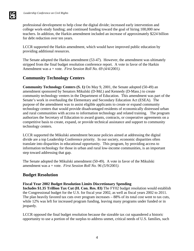

LCCR supported the Harkin amendment, which would have improved public education by providing additional resources.

The Senate adopted the Harkin amendment (53-47). However, the amendment was ultimately stripped from the final budget resolution conference report. A vote in favor of the Harkin Amendment was a + vote. *First Session Roll No. 69 (4/4/2001).*

# **Community Technology Centers**

**Community Technology Centers (S. 1)** On May 9, 2001, the Senate adopted (50-49) an amendment sponsored by Senators Mikulski (D-Md.) and Kennedy (D-Mass.) to create community technology venters in the Department of Education. This amendment was part of the Senate's work in overhauling the Elementary and Secondary Education Act (ESEA). The purpose of the amendment was to assist eligible applicants to create or expand community technology centers that would provide disadvantaged residents of economically distressed urban and rural communities with access to information technology and related training. The program authorizes the Secretary of Education to award grants, contracts, or cooperative agreements on a competitive basis to create, expand, or provide technical assistance and support to community technology centers.

LCCR supported the Mikulski amendment because policies aimed at addressing the digital divide are a top Leadership Conference priority. In our society, economic disparities often translate into disparities in educational opportunity. This program, by providing access to information technology for those in urban and rural low-income communities, is an important step toward addressing that gap.

The Senate adopted the Mikulski amendment (50-49). A vote in favor of the Mikulski amendment was a + vote. *First Session Roll No. 96 (5/9/2001).*

#### **Budget Resolution**

#### **Fiscal Year 2002 Budget Resolution Limits Discretionary Spending**

**Includes \$1.35 Trillion Tax Cut (H. Con. Res. 83)** The FY02 budget resolution would establish the Congressional budget for the U.S. for fiscal year 2002, as well as fiscal years 2002 to 2011. The plan heavily favored tax cuts over program increases – 88% of its total cost went to tax cuts, while 12% was left for increased program funding, leaving many programs under funded or in jeopardy.

LCCR opposed the final budget resolution because the sizeable tax cut squandered a historic opportunity to use a portion of the surplus to address unmet, critical needs of U.S. families, such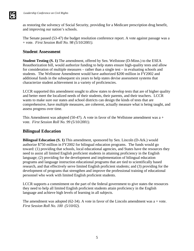as restoring the solvency of Social Security, providing for a Medicare prescription drug benefit, and improving our nation's schools.

The Senate passed (53-47) the budget resolution conference report. A vote against passage was a + vote. *First Session Roll No. 98 (5/10/2001).*

#### **Student Assessment**

**Student Testing (S. 1)** The amendment, offered by Sen. Wellstone (D-Minn.) to the ESEA Reauthorization bill, would authorize funding to help states ensure high-quality tests and allow for consideration of multiple measures – rather than a single test – in evaluating schools and students. The Wellstone Amendment would have authorized \$200 million in FY2002 and additional funds in the subsequent six years to help states devise assessment systems that characterize student achievement in a variety of proficiencies.

LCCR supported this amendment sought to allow states to develop tests that are of higher quality and better meet the localized needs of their students, their parents, and their teachers. LCCR wants to make sure our states and school districts can design the kinds of tests that are comprehensive, have multiple measures, are coherent, actually measure what is being taught, and assess progress over time.

This Amendment was adopted (50-47). A vote in favor of the Wellstone amendment was  $a +$ vote. *First Session Roll No. 99 (5/10/2001).*

#### **Bilingual Education**

**Bilingual Education (S. 1)** This amendment, sponsored by Sen. Lincoln (D-Ark.) would authorize \$750 million in FY2002 for bilingual education programs. The funds would go toward: (1) providing that schools, local educational agencies, and States have the resources they need to assist all limited English proficient students in attaining proficiency in the English language; (2) providing for the development and implementation of bilingual education programs and language instruction educational programs that are tied to scientifically based research, and that effectively serve limited English proficient students; and (3) providing for the development of programs that strengthen and improve the professional training of educational personnel who work with limited English proficient students.

LCCR supports a commitment on the part of the federal government to give states the resources they need to help all limited English proficient students attain proficiency in the English language and achieve high levels of learning in all subjects.

The amendment was adopted (62-34). A vote in favor of the Lincoln amendment was a + vote. *First Session Roll No. 100 (5/10/02).*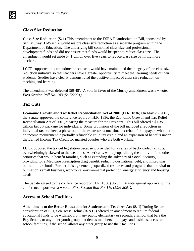# **Class Size Reduction**

**Class Size Reduction (S. 1)** This amendment to the ESEA Reauthorization Bill, sponsored by Sen. Murray (D-Wash.), would restore class size reduction as a separate program within the Department of Education. The underlying bill combined class-size and professional development funds and did not ensure that funds would be spent to reduce class size. The amendment would set aside \$7.1 billion over five years to reduce class size by hiring more teachers.

LCCR supported this amendment because it would have maintained the integrity of the class size reduction initiative so that teachers have a greater opportunity to meet the learning needs of their students. Studies have clearly demonstrated the positive impact of class size reduction on teaching and learning.

The amendment was defeated (50-48). A vote in favor of the Murray amendment was  $a + v$ ote. *First Session Roll No. 103 (5/15/2001).*

# **Tax Cuts**

**Economic Growth and Tax Relief Reconciliation Act of 2001 (H.R. 1836)** On May 26, 2001, the Senate approved the conference report on H.R. 1836, the Economic Growth and Tax Relief Reconciliation Act of 2001, clearing the measure for the President. This bill offered a \$1.35 trillion tax cut package for individuals. Some provisions of the bill included a reduction in individual tax brackets, a phase-out of the estate tax, a one-time tax rebate for taxpayers who met an income requirement, a partially refundable child tax credit, and an expansion of benefits under the Earned Income Tax Credit for married couples who are both working.

LCCR opposed the tax cut legislation because it provided for a series of back-loaded tax cuts, overwhelmingly skewed to the wealthiest Americans, while jeopardizing the ability to fund other priorities that would benefit families, such as extending the solvency of Social Security, providing for a Medicare prescription drug benefit, reducing our national debt, and improving our nation's schools. Further, this agreement jeopardized resources and programs that are vital to our nation's small business, workforce, environmental protection, energy efficiency and housing needs.

The Senate agreed to the conference report on H.R. 1836 (58-33). A vote against approval of the conference report was a + vote. *First Session Roll No. 170 (5/26/2001).*

#### **Access to School Facilities**

**Amendment to the Better Education for Students and Teachers Act (S. 1)** During Senate consideration of S. 1, Sen. Jesse Helms (R-N.C.) offered an amendment to require federal educational funds to be withheld from any public elementary or secondary school that bars the Boy Scouts, or any other youth group that denies membership to gays and lesbians, access to school facilities, if the school allows any other group to use their facilities.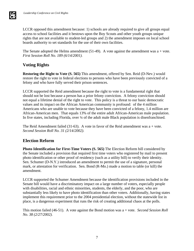LCCR opposed this amendment because: 1) schools are already required to give all groups equal access to school facilities and it bestows upon the Boy Scouts and other youth groups unique rights that are not available to student-led groups and 2) the amendment imposes on local school boards authority to set standards for the use of their own facilities.

The Senate adopted the Helms amendment  $(51-49)$ . A vote against the amendment was a + vote. *First Session Roll No. 189 (6/14/2001).*

# **Voting Rights**

**Restoring the Right to Vote (S. 565)** This amendment, offered by Sen. Reid (D-Nev.) would restore the right to vote in federal elections to persons who have been previously convicted of a felony and who have fully served their prison sentences.

LCCR supported the Reid amendment because the right to vote is a fundamental right that should not be lost because a person has a prior felony conviction. A felony conviction should not equal a lifetime denial of the right to vote. This policy is a threat to our basic democratic values and its impact on the African American community is profound: of the 4 million Americans who are unable to vote because they have been convicted of a felony, 1.4 million are African-American men. That equals 13% of the entire adult African-American male population. In five states, including Florida, over ¼ of the adult male Black population is disenfranchised.

The Reid Amendment failed  $(31-63)$ . A vote in favor of the Reid amendment was  $a + v$ ote. *Second Session Roll No. 31 (2/14/2002).*

#### **Election Reform**

**Photo Identification for First-Time Voters (S. 565)** The Election Reform bill considered by the Senate included a provision that required first time voters who registered by mail to present photo identification or other proof of residency (such as a utility bill) to verify their identity. Sen. Schumer (D-N.Y.) introduced an amendment to permit the use of a signature, personal mark, or attestation for verification. Sen. Bond (R-Mo.) made a motion to table (or kill) the amendment.

LCCR supported the Schumer Amendment because the identification provisions included in the Senate bill would have a discriminatory impact on a large number of voters, especially people with disabilities, racial and ethnic minorities, students, the elderly, and the poor, who are substantially less likely to have photo identification than other voters. Additionally, having states implement this requirement prior to the 2004 presidential election, without the statewide list in place, is a dangerous experiment that runs the risk of creating additional chaos at the polls.

This motion failed (46-51). A vote against the Bond motion was a + vote. *Second Session Roll No. 38 (2/27/2002).*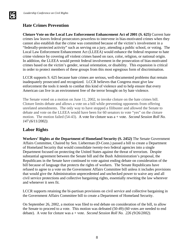

# **Hate Crimes Prevention**

**Cloture Vote on the Local Law Enforcement Enhancement Act of 2001 (S. 625)** Current hate crimes law leaves federal prosecutors powerless to intervene in bias-motivated crimes when they cannot also establish that the crime was committed because of the victim's involvement in a "federally-protected activity" such as serving on a jury, attending a public school, or voting. The Local Law Enforcement Enhancement Act (LLEEA) would enhance the federal response to hate crime violence by covering *all* violent crimes based on race, color, religion, or national origin. In addition, the LLEEA would permit federal involvement in the prosecution of bias-motivated crimes based on the victim's gender, sexual orientation, or disability. This expansion is critical in order to protect members of these groups from this most egregious form of discrimination.

LCCR supports S. 625 because hate crimes are serious, well-documented problems that remain inadequately prosecuted and recognized. LCCR believes that Congress must give law enforcement the tools it needs to combat this kind of violence and to help ensure that every American can live in an environment free of the terror brought on by hate violence.

The Senate voted on a motion on June 11, 2002, to invoke cloture on the hate crimes bill. Cloture limits debate and allows a vote on a bill while preventing opponents from offering unrelated amendments. The only way to have stopped a filibuster and allowed the Senate to debate and vote on the LLEEA would have been for 60 senators to vote "yes" on the cloture motion. The motion failed (54-43). A vote for cloture was a + vote. *Second Session Roll No. 147 (6/11/2002).*

#### **Labor Rights**

**Workers' Rights at the Department of Homeland Security (S. 2452)** The Senate Government Affairs Committee, Chaired by Sen. Lieberman (D-Conn.) passed a bill to create a Department of Homeland Security that would consolidate twenty-two federal agencies into a single Department focused on protecting the United States against the threat of terrorism. Despite substantial agreement between the Senate bill and the Bush Administration's proposal, the Republicans in the Senate have continued to vote against ending debate on consideration of the bill because of language that protects the rights of workers. The Senate Republicans have refused to agree to a vote on the Government Affairs Committee bill unless it includes provisions that would give the Administration unprecedented and unchecked power to waive any and all civil service protections and collective bargaining rights, essentially rewriting the law wherever and whenever it sees fit.

LCCR supports retaining the bi-partisan provisions on civil service and collective bargaining in the Government Affairs Committee bill to create a Department of Homeland Security.

On September 26, 2002, a motion was filed to end debate on consideration of the bill, to allow the Senate to proceed to a vote. This motion was defeated (50-49) (60 votes are needed to end debate). A vote for cloture was a + vote. *Second Session Roll No. 226 (9/26/2002).*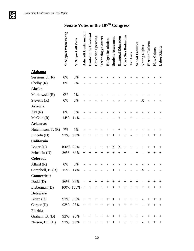**Just** 

# **Senate Votes in the 107th Congress**

|                    | % Support When Voting | % Support All Votes | Ashcroft Confirmation    | <b>Bankruptcy Overhaul</b> | <b>Education Spending</b> | <b>Technology Centers</b> | <b>Budget Resolution</b> | <b>Student Assessment</b> | <b>Bilingual Education</b>       | <b>Class Size Reduction</b> | Tax Cuts | <b>School Facilities</b> | Voting Rights            | Election Reform | Hate Crimes | Labor Rights                     |
|--------------------|-----------------------|---------------------|--------------------------|----------------------------|---------------------------|---------------------------|--------------------------|---------------------------|----------------------------------|-----------------------------|----------|--------------------------|--------------------------|-----------------|-------------|----------------------------------|
| <b>Alabama</b>     |                       |                     |                          |                            |                           |                           |                          |                           |                                  |                             |          |                          |                          |                 |             |                                  |
| Sessions, $J. (R)$ | 0%                    | 0%                  |                          |                            |                           |                           |                          |                           |                                  |                             |          |                          |                          |                 |             |                                  |
| Shelby $(R)$       | 0%                    | 0%                  |                          |                            |                           |                           |                          |                           |                                  |                             |          |                          |                          |                 |             |                                  |
| <b>Alaska</b>      |                       |                     |                          |                            |                           |                           |                          |                           |                                  |                             |          |                          |                          |                 |             |                                  |
| Murkowski (R)      | 0%                    | 0%                  |                          |                            |                           |                           |                          |                           |                                  |                             |          |                          |                          |                 |             |                                  |
| Stevens (R)        | 0%                    | 0%                  |                          |                            |                           |                           |                          |                           |                                  |                             |          |                          | X                        |                 |             |                                  |
| <b>Arizona</b>     |                       |                     |                          |                            |                           |                           |                          |                           |                                  |                             |          |                          |                          |                 |             |                                  |
| Kyl $(R)$          | 0%                    | 0%                  |                          |                            |                           |                           |                          |                           |                                  |                             |          |                          |                          |                 |             |                                  |
| McCain(R)          | 14%                   | 14%                 |                          |                            |                           |                           |                          |                           | $\hspace{0.1mm} +\hspace{0.1mm}$ |                             |          |                          |                          |                 |             |                                  |
| <b>Arkansas</b>    |                       |                     |                          |                            |                           |                           |                          |                           |                                  |                             |          |                          |                          |                 |             |                                  |
| Hutchinson, T. (R) | 7%                    | 7%                  |                          |                            |                           |                           |                          |                           |                                  |                             |          |                          |                          |                 |             |                                  |
| Lincoln $(D)$      | 93%                   | 93%                 | $\! +$                   | $^{+}$                     | $^+$                      | $^{+}$                    | $^{+}$                   | $^+$                      | $^{+}$                           | $^{+}$                      |          | $^{+}$                   | $^{+}$                   | $^{+}$          | $^{+}$      | $\hspace{0.1mm} +\hspace{0.1mm}$ |
| California         |                       |                     |                          |                            |                           |                           |                          |                           |                                  |                             |          |                          |                          |                 |             |                                  |
| Boxer $(D)$        | 100%                  | 86%                 | $\! +$                   | $\overline{+}$             | $^+$                      | $^{+}$                    | $+$                      | X                         | X                                | $^{+}$                      | $^+$     | $^{+}$                   | $\overline{+}$           | $^{+}$          | $^{+}$      | $^+$                             |
| Feinstein (D)      | 86%                   | 86%                 | $^{+}$                   | $^{+}$                     | $^+$                      | $^{+}$                    | $^{+}$                   | $^+$                      | $^{+}$                           | $\overline{+}$              |          |                          |                          | $\,+\,$         | $^{+}$      | $\hspace{0.1mm} +$               |
| Colorado           |                       |                     |                          |                            |                           |                           |                          |                           |                                  |                             |          |                          |                          |                 |             |                                  |
| Allard $(R)$       | 0%                    | 0%                  |                          |                            |                           |                           |                          |                           |                                  |                             |          |                          |                          |                 |             |                                  |
| Campbell, B. (R)   | 15%                   | 14%                 |                          |                            |                           |                           |                          |                           | ┿                                |                             |          |                          | X                        |                 |             |                                  |
| Connecticut        |                       |                     |                          |                            |                           |                           |                          |                           |                                  |                             |          |                          |                          |                 |             |                                  |
| $Dodd$ (D)         | 86%                   | 86%                 | $\overline{\phantom{a}}$ | $^{+}$                     | $^{+}$                    | $+$                       | $+$                      | $+$                       | $+$                              | $+$                         | $^{+}$   | $^{+}$                   |                          | $^{+}$          | $^{+}$      | $^{+}$                           |
| Lieberman (D)      |                       | $100\%$ 100% +      |                          | $+$                        | $^{+}$                    | $+$                       | $+$                      | $+$                       | $^{+}$                           | $+$                         | $+$      | $+$                      | $^{+}$                   | $^{+}$          | $^{+}$      | $^{+}$                           |
| <b>Delaware</b>    |                       |                     |                          |                            |                           |                           |                          |                           |                                  |                             |          |                          |                          |                 |             |                                  |
| Biden (D)          | 93%                   | 93%                 | $+$                      | $^{+}$                     | $^{+}$                    | $+$                       | $^{+}$                   | $^{+}$                    | $^{+}$                           | $^{+}$                      | $^{+}$   | $^{+}$                   |                          | $^{+}$          | $^{+}$      | $+$                              |
| Carper $(D)$       | 93%                   | 93%                 | $+$                      | $+$                        | $^{+}$                    | $+$                       | $+$                      | $^{+}$                    | $^{+}$                           | $+$                         | $^{+}$   | $^{+}$                   |                          | $^{+}$          | $^{+}$      | $^{+}$                           |
| <b>Florida</b>     |                       |                     |                          |                            |                           |                           |                          |                           |                                  |                             |          |                          |                          |                 |             |                                  |
| Graham, B. (D)     | 93%                   | 93%                 | $^{+}$                   | $^{+}$                     | $^{+}$                    | $+$                       | $+$                      | $+$                       | $+$                              | $+$                         | $+$      | $^{+}$                   | $\overline{\phantom{a}}$ | $+$             | $^{+}$      | $^{+}$                           |
| Nelson, Bill (D)   | 93%                   | 93%                 | $^{+}$                   | $^{+}$                     | $^{+}$                    | $^{+}$                    | $^{+}$                   | $^{+}$                    | $^{+}$                           | $^{+}$                      | $^+$     | $^{+}$                   |                          | $^+$            | $^{+}$      | $^{+}$                           |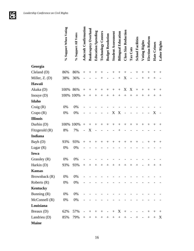|                 | % Support When Voting | % Support All Votes | <b>Ashcroft Confirmation</b> | <b>Bankruptcy Overhaul</b> | <b>Education Spending</b> | <b>Technology Centers</b> | <b>Budget Resolution</b> | <b>Student Assessment</b> | <b>Bilingual Education</b> | <b>Class Size Reduction</b> | Tax Cuts | <b>School Facilities</b> | Voting Rights | <b>Election Reform</b> | Hate Crimes | Labor Rights                     |
|-----------------|-----------------------|---------------------|------------------------------|----------------------------|---------------------------|---------------------------|--------------------------|---------------------------|----------------------------|-----------------------------|----------|--------------------------|---------------|------------------------|-------------|----------------------------------|
| Georgia         |                       |                     |                              |                            |                           |                           |                          |                           |                            |                             |          |                          |               |                        |             |                                  |
| Cleland(D)      | 86%                   | 86%                 | $\! +$                       | $^{+}$                     | $^{+}$                    | $^{+}$                    |                          | $^+$                      | $^{+}$                     | $^+$                        |          | $^{+}$                   | $^{+}$        | $^{+}$                 | $^{+}$      | $\hspace{0.1mm} +\hspace{0.1mm}$ |
| Miller, Z. (D)  | 38%                   | 36%                 |                              |                            |                           | $^{+}$                    |                          |                           | $^{+}$                     | X                           |          |                          | $^{+}$        | $^{+}$                 | $^{+}$      |                                  |
| Hawaii          |                       |                     |                              |                            |                           |                           |                          |                           |                            |                             |          |                          |               |                        |             |                                  |
| Akaka (D)       | 100%                  | 86%                 | $^{+}$                       | $^{+}$                     | $\,+\,$                   | $^{+}$                    | $^{+}$                   | $^{+}$                    | $^{+}$                     | X                           | X        | $^{+}$                   | $^{+}$        | $^{+}$                 | $^{+}$      | $^+$                             |
| Inouye $(D)$    | 100%                  | 100%                | $^{+}$                       | $^{+}$                     | $^{+}$                    | $^{+}$                    | $^{+}$                   | $+$                       | $^{+}$                     | $+$                         | $^{+}$   | $^{+}$                   | $^{+}$        | $^{+}$                 | $^{+}$      | $^{+}$                           |
| Idaho           |                       |                     |                              |                            |                           |                           |                          |                           |                            |                             |          |                          |               |                        |             |                                  |
| Craig $(R)$     | 0%                    | 0%                  |                              |                            |                           |                           |                          |                           |                            |                             |          |                          |               |                        |             |                                  |
| Crapo(R)        | 0%                    | 0%                  |                              |                            |                           |                           |                          | X                         | X                          |                             |          |                          |               |                        | X           |                                  |
| <b>Illinois</b> |                       |                     |                              |                            |                           |                           |                          |                           |                            |                             |          |                          |               |                        |             |                                  |
| Durbin (D)      | 100%                  | 100%                | $^{+}$                       | $^{+}$                     | $^+$                      | $^{+}$                    | $^{+}$                   | $^{+}$                    | $^{+}$                     | $^+$                        | $^{+}$   | $^{+}$                   | $^{+}$        | $^{+}$                 | $^{+}$      | $\hspace{0.1mm} +$               |
| Fitzgerald (R)  | 8%                    | 7%                  |                              | X                          |                           |                           |                          |                           | $^+$                       |                             |          |                          |               |                        |             |                                  |
| <b>Indiana</b>  |                       |                     |                              |                            |                           |                           |                          |                           |                            |                             |          |                          |               |                        |             |                                  |
| Bayh (D)        | 93%                   | 93%                 | $^{+}$                       | $^{+}$                     | $^{+}$                    | $^{+}$                    | $^{+}$                   | $^{+}$                    | $^{+}$                     | $^{+}$                      | $^{+}$   | $^{+}$                   |               | $^{+}$                 | $^{+}$      | $\hspace{0.1mm} +$               |
| Lugar $(R)$     | 0%                    | 0%                  |                              |                            |                           |                           |                          |                           |                            |                             |          |                          |               |                        |             |                                  |
| Iowa            |                       |                     |                              |                            |                           |                           |                          |                           |                            |                             |          |                          |               |                        |             |                                  |
| Grassley (R)    | 0%                    | 0%                  |                              |                            |                           |                           |                          |                           |                            |                             |          |                          |               |                        |             |                                  |
| Harkin (D)      | 93%                   | 93%                 | $^{+}$                       | $^+$                       | $^+$                      | $^{+}$                    | $^{+}$                   | $^+$                      | $^{+}$                     | $^{+}$                      | $\,+\,$  | $^{+}$                   |               | $^{+}$                 | $^{+}$      | $^+$                             |
| <b>Kansas</b>   |                       |                     |                              |                            |                           |                           |                          |                           |                            |                             |          |                          |               |                        |             |                                  |
| Brownback (R)   | 0%                    | 0%                  |                              |                            |                           |                           |                          |                           |                            |                             |          |                          |               |                        |             |                                  |
| Roberts $(R)$   | 0%                    | 0%                  |                              |                            |                           |                           |                          |                           |                            |                             |          |                          |               |                        |             |                                  |
| <b>Kentucky</b> |                       |                     |                              |                            |                           |                           |                          |                           |                            |                             |          |                          |               |                        |             |                                  |
| Bunning $(R)$   | 0%                    | 0%                  |                              |                            |                           |                           |                          |                           |                            |                             |          |                          |               |                        |             |                                  |
| McConnell(R)    | 0%                    | 0%                  |                              |                            |                           |                           |                          |                           |                            |                             |          |                          |               |                        |             |                                  |
| Louisiana       |                       |                     |                              |                            |                           |                           |                          |                           |                            |                             |          |                          |               |                        |             |                                  |
| Breaux (D)      | 62%                   | 57%                 |                              | $+$                        | $^{+}$                    | $+$                       | $\overline{\phantom{a}}$ | $+$                       | X                          | $+$                         |          |                          |               | $^{+}$                 | $^{+}$      | $^{+}$                           |
| Landrieu (D)    | 85%                   | 79%                 | $^{+}$                       | $^{+}$                     | $^{+}$                    | $+$                       | $+$                      | $^{+}$                    | $\boldsymbol{+}$           | $+$                         |          | $^{+}$                   |               | $^{+}$                 | $+$         | X                                |
| <b>Maine</b>    |                       |                     |                              |                            |                           |                           |                          |                           |                            |                             |          |                          |               |                        |             |                                  |

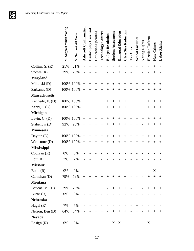|                      | % Support When Voting | % Support All Votes | <b>Ashcroft Confirmation</b> | Overhaul<br>Bankruptcy | <b>Education Spending</b> | <b>Technology Centers</b> | <b>Budget Resolution</b> | <b>Student Assessment</b> | <b>Bilingual Education</b> | Class Size Reduction     | Tax Cuts          | <b>School Facilities</b> | Voting Rights                | Election Reform | Hate Crimes       | Labor Rights |
|----------------------|-----------------------|---------------------|------------------------------|------------------------|---------------------------|---------------------------|--------------------------|---------------------------|----------------------------|--------------------------|-------------------|--------------------------|------------------------------|-----------------|-------------------|--------------|
| Collins, $S. (R)$    | 21%                   | 21%                 |                              | $\overline{+}$         |                           |                           |                          |                           | $\hspace{0.1mm} +$         |                          |                   |                          |                              |                 | $^{+}$            |              |
| Snowe $(R)$          | 29%                   | 29%                 |                              |                        |                           | $\,{}^+$                  |                          |                           |                            |                          |                   |                          |                              |                 | $^{+}$            |              |
| <b>Maryland</b>      |                       |                     |                              |                        |                           |                           |                          |                           |                            |                          |                   |                          |                              |                 |                   |              |
| Mikulski (D)         |                       | 100% 100%           | $^{+}$                       | $^{+}$                 | $^+$                      | $\overline{+}$            | $^+$                     |                           | $\overline{+}$             | $\overline{+}$           | $^+$              | $^{+}$                   | $\,{}^{+}\,$                 | $^+$            | $^+$              | $^+$         |
| Sarbanes (D)         | 100%                  | 100%                | $^{+}$                       | $^{+}$                 | $^+$                      | $\overline{+}$            | $+$                      | $^+$                      | $^{+}$                     | $\overline{+}$           | $^+$              | $+$                      | $\overline{+}$               | $^{+}$          | $^{+}$            | $^+$         |
| <b>Massachusetts</b> |                       |                     |                              |                        |                           |                           |                          |                           |                            |                          |                   |                          |                              |                 |                   |              |
| Kennedy, E. (D)      | 100%                  | 100%                | $^{+}$                       | $\overline{+}$         | $^+$                      | $^+$                      | $\mathrm{+}$             | $^+$                      | $^+$                       | $^+$                     | $^+$              | $^+$                     | $\, +$                       | $^+$            | $^+$              | $^+$         |
| Kerry, $J. (D)$      | 100%                  | 100%                | $^{+}$                       | $^{+}$                 | $^{+}$                    | $\overline{+}$            | $^{+}$                   | $^{+}$                    | $^{+}$                     | $^{+}$                   | $^{+}$            | $^{+}$                   | $\overline{+}$               | $^{+}$          | $^{+}$            | $^+$         |
| <b>Michigan</b>      |                       |                     |                              |                        |                           |                           |                          |                           |                            |                          |                   |                          |                              |                 |                   |              |
| Levin, $C. (D)$      | 100%                  | 100%                | $+$                          | $^+$                   |                           | $\overline{+}$            |                          |                           |                            |                          | $^+$              | $^{+}$                   | $\, +$                       |                 | $^+$              | $\mathrm{+}$ |
| Stabenow (D)         | 93%                   | 93%                 | $^{+}$                       | $^{+}$                 | $^+$                      | $^{+}$                    | $^{+}$                   | $^{+}$                    | $\overline{+}$             | $^{+}$                   | $\,+\,$           | $^+$                     |                              | ┽               | $^+$              | $^+$         |
| <b>Minnesota</b>     |                       |                     |                              |                        |                           |                           |                          |                           |                            |                          |                   |                          |                              |                 |                   |              |
| Dayton (D)           | 100%                  | 100%                | $^{+}$                       | $^{+}$                 | $^+$                      | $\overline{+}$            | $^{+}$                   | $^+$                      | $\hspace{0.1mm} +$         | $^{+}$                   | $^+$              | $^{+}$                   | $\overline{+}$               | $^+$            | $^+$              |              |
| Wellstone (D)        | 100%                  | 100%                | $^{+}$                       | $^{+}$                 | $^+$                      | $^{+}$                    | $\overline{+}$           | $\,+\,$                   | $^{+}$                     | $\overline{+}$           | $^{+}$            | $^{+}$                   | $\, +$                       | $^{+}$          | $^+$              | $^+$         |
| <b>Mississippi</b>   |                       |                     |                              |                        |                           |                           |                          |                           |                            |                          |                   |                          |                              |                 |                   |              |
| Cochran $(R)$        | 0%                    | 0%                  |                              |                        |                           |                           |                          |                           |                            |                          |                   |                          |                              |                 |                   |              |
| Lott $(R)$           | 7%                    | 7%                  |                              |                        |                           |                           |                          |                           |                            |                          |                   |                          |                              |                 |                   |              |
| <b>Missouri</b>      |                       |                     |                              |                        |                           |                           |                          |                           |                            |                          |                   |                          |                              |                 |                   |              |
| Bond $(R)$           | 0%                    | 0%                  |                              |                        |                           |                           |                          |                           |                            |                          |                   |                          |                              |                 | X                 |              |
| Carnahan (D)         | 79%                   | 79%                 | $^{+}$                       | $+$                    | $^{+}$                    | $\boldsymbol{+}$          | $+$                      | $+$                       | $\boldsymbol{+}$           |                          |                   |                          |                              |                 | $^{+}$            | $^{+}$       |
| <b>Montana</b>       |                       |                     |                              |                        |                           |                           |                          |                           |                            |                          |                   |                          |                              |                 |                   |              |
| Baucus, M. (D)       | 79%                   | 79%                 | $^{+}$                       | $+$                    | $+$                       | $+$                       | $\overline{\phantom{a}}$ | $+$                       | $+$                        | $^{+}$                   | $\qquad \qquad -$ | $^{+}$                   | $\qquad \qquad \blacksquare$ | $+$             | $+$               | $^{+}$       |
| Burns $(R)$          | 0%                    | 0%                  |                              |                        |                           |                           |                          |                           |                            |                          |                   |                          |                              |                 |                   |              |
| <b>Nebraska</b>      |                       |                     |                              |                        |                           |                           |                          |                           |                            |                          |                   |                          |                              |                 |                   |              |
| Hagel $(R)$          | 7%                    | 7%                  |                              |                        |                           |                           |                          |                           |                            |                          |                   | $^{+}$                   |                              |                 |                   |              |
| Nelson, Ben (D)      | 64%                   | 64%                 |                              |                        | $+$                       | $^{+}$                    | $\overline{\phantom{0}}$ | $+$                       | $\boldsymbol{+}$           | $+$                      |                   | $\boldsymbol{+}$         |                              |                 | $^{+}$            | $^{+}$       |
| <b>Nevada</b>        |                       |                     |                              |                        |                           |                           |                          |                           |                            |                          |                   |                          |                              |                 |                   |              |
| Ensign $(R)$         | 0%                    | 0%                  |                              |                        |                           |                           |                          | X                         | $\mathbf{X}$               | $\overline{\phantom{0}}$ |                   |                          |                              | X               | $\qquad \qquad -$ |              |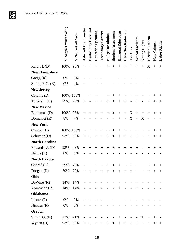|                       | % Support When Voting | % Support All Votes | <b>Ashcroft Confirmation</b> | <b>Bankruptcy Overhaul</b> | <b>Education Spending</b> | <b>Technology Centers</b> | <b>Budget Resolution</b> | <b>Student Assessment</b> | <b>Bilingual Education</b> | <b>Class Size Reduction</b>      | Tax Cuts | <b>School Facilities</b> | Voting Rights  | Election Reform  | Hate Crimes        | Labor Rights                     |
|-----------------------|-----------------------|---------------------|------------------------------|----------------------------|---------------------------|---------------------------|--------------------------|---------------------------|----------------------------|----------------------------------|----------|--------------------------|----------------|------------------|--------------------|----------------------------------|
| Reid, H. (D)          | 100%                  | 93%                 | $\ddot{}$                    | $^{+}$                     | $\hspace{.011cm} +$       | $^{+}$                    | $^{+}$                   | $^{+}$                    | $^{+}$                     | $^{+}$                           | $^{+}$   | $+$                      | $+$            | X                | $\! +$             | $^+$                             |
| <b>New Hampshire</b>  |                       |                     |                              |                            |                           |                           |                          |                           |                            |                                  |          |                          |                |                  |                    |                                  |
| Gregg $(R)$           | 0%                    | 0%                  |                              |                            |                           |                           |                          |                           |                            |                                  |          |                          |                |                  |                    |                                  |
| Smith, R.C. (R)       | 0%                    | 0%                  |                              |                            |                           |                           |                          |                           |                            |                                  |          |                          |                |                  |                    |                                  |
| <b>New Jersey</b>     |                       |                     |                              |                            |                           |                           |                          |                           |                            |                                  |          |                          |                |                  |                    |                                  |
| Corzine $(D)$         | 100%                  | 100%                | $^{+}$                       | $\overline{+}$             | $\,+\,$                   | $\overline{+}$            | $\,{}^{+}\,$             | $^+$                      | $\overline{+}$             | $^+$                             | $^+$     | $^{+}$                   | $\overline{+}$ | $^{+}$           | $\overline{+}$     | $^+$                             |
| Torricelli (D)        | 79%                   | 79%                 | $^{+}$                       |                            |                           | $\overline{+}$            | $\overline{+}$           | $^+$                      | $\hspace{0.1mm} +$         | $^+$                             |          | $^+$                     |                | $^+$             | $\hspace{0.1mm} +$ | $^+$                             |
| <b>New Mexico</b>     |                       |                     |                              |                            |                           |                           |                          |                           |                            |                                  |          |                          |                |                  |                    |                                  |
| Bingaman (D)          | 100%                  | 93%                 | $^{+}$                       | $^{+}$                     | $^+$                      | $\overline{+}$            | $^{+}$                   | $^+$                      | $^{+}$                     | $^{+}$                           | X        | $+$                      | $^{+}$         | $^{+}$           | $^{+}$             | $\pm$                            |
| Domenici (R)          | 8%                    | 7%                  |                              |                            |                           |                           |                          |                           | $^{+}$                     |                                  | X        |                          | X              |                  |                    |                                  |
| <b>New York</b>       |                       |                     |                              |                            |                           |                           |                          |                           |                            |                                  |          |                          |                |                  |                    |                                  |
| Clinton (D)           | 100%                  | 100%                | $^{+}$                       | $\, +$                     |                           | $\overline{+}$            |                          |                           | $^+$                       |                                  | $^+$     | $^+$                     | $\,{}^{+}\,$   | $^+$             |                    | $^+$                             |
| Schumer (D)           | 93%                   | 93%                 | $^{+}$                       | $^{+}$                     | $\hspace{.011cm} +$       | $^{+}$                    | $^{+}$                   | $^+$                      | $^{+}$                     | $^{+}$                           | $^{+}$   | $^{+}$                   |                | $^{+}$           | $^{+}$             | $\hspace{0.1mm} +\hspace{0.1mm}$ |
| <b>North Carolina</b> |                       |                     |                              |                            |                           |                           |                          |                           |                            |                                  |          |                          |                |                  |                    |                                  |
| Edwards, J. (D)       | 93%                   | 93%                 | $^{+}$                       | $^{+}$                     | $+$                       | $^{+}$                    | $+$                      | $+$                       | $+$                        | $+$                              | $+$      | $+$                      |                | $+$              | $+$                | $^{+}$                           |
| Helms $(R)$           | 0%                    | 0%                  |                              |                            |                           |                           |                          |                           |                            |                                  |          |                          |                |                  |                    |                                  |
| <b>North Dakota</b>   |                       |                     |                              |                            |                           |                           |                          |                           |                            |                                  |          |                          |                |                  |                    |                                  |
| Conrad (D)            | 79%                   | 79%                 |                              |                            |                           | $\,{}^{+}\,$              | $\,{}^{+}\,$             | $\,+\,$                   | $^+$                       |                                  |          |                          |                |                  | $^+$               | $^+$                             |
| Dorgan (D)            | 79%                   | 79%                 |                              | $^{+}$                     | $+$                       | $^{+}$                    |                          | $\! +$                    | $\! +$                     | $^{+}$                           | $^{+}$   |                          |                | $+$              | $^{+}$             | $^{+}$                           |
| Ohio                  |                       |                     |                              |                            |                           |                           |                          |                           |                            |                                  |          |                          |                |                  |                    |                                  |
| DeWine $(R)$          | 14%                   | 14%                 |                              |                            |                           |                           |                          |                           |                            |                                  |          | $+$                      | $+$            |                  |                    |                                  |
| Voinovich (R)         | 14%                   | 14%                 |                              |                            |                           |                           |                          |                           | $+$                        |                                  |          | $+$                      |                |                  |                    |                                  |
| <b>Oklahoma</b>       |                       |                     |                              |                            |                           |                           |                          |                           |                            |                                  |          |                          |                |                  |                    |                                  |
| Inhofe $(R)$          | 0%                    | 0%                  |                              |                            |                           |                           |                          |                           |                            |                                  |          |                          |                |                  |                    |                                  |
| Nickles $(R)$         | 0%                    | 0%                  |                              |                            |                           |                           |                          |                           |                            |                                  |          |                          |                |                  |                    |                                  |
| Oregon                |                       |                     |                              |                            |                           |                           |                          |                           |                            |                                  |          |                          |                |                  |                    |                                  |
| Smith, $G. (R)$       | 23%                   | 21%                 |                              |                            |                           |                           |                          |                           | $\! +$                     |                                  |          | $\qquad \qquad -$        | X              | $\boldsymbol{+}$ | $^{+}$             |                                  |
| Wyden (D)             | 93%                   | 93%                 | $\boldsymbol{+}$             | $^{+}$                     | $^+$                      | $^+$                      | $^+$                     | $^+$                      | $\hspace{0.1mm} +$         | $\hspace{0.1mm} +\hspace{0.1mm}$ | $^+$     | $^+$                     |                | $^{+}$           | $^+$               | $^{+}$                           |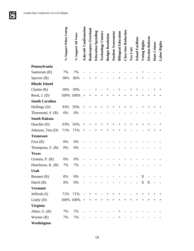|                       | % Support When Voting | % Support All Votes | <b>Ashcroft Confirmation</b> | Bankruptcy Overhaul | <b>Education Spending</b> | <b>Technology Centers</b> | <b>Budget Resolution</b> | <b>Student Assessment</b> | <b>Bilingual Education</b> | <b>Class Size Reduction</b> | Tax Cuts       | <b>School Facilities</b> | Voting Rights | <b>Election Reform</b> | Hate Crimes | Labor Rights |
|-----------------------|-----------------------|---------------------|------------------------------|---------------------|---------------------------|---------------------------|--------------------------|---------------------------|----------------------------|-----------------------------|----------------|--------------------------|---------------|------------------------|-------------|--------------|
| Pennsylvania          |                       |                     |                              |                     |                           |                           |                          |                           |                            |                             |                |                          |               |                        |             |              |
| Santorum (R)          | 7%                    | 7%                  |                              |                     |                           |                           |                          |                           |                            |                             |                |                          |               |                        |             |              |
| Specter $(R)$         | 36%                   | 36%                 |                              |                     |                           |                           |                          |                           |                            |                             |                |                          | $^{+}$        |                        |             |              |
| <b>Rhode Island</b>   |                       |                     |                              |                     |                           |                           |                          |                           |                            |                             |                |                          |               |                        |             |              |
| Chafee $(R)$          | 50%                   | 50%                 |                              |                     |                           |                           | $\overline{+}$           |                           | $^+$                       |                             | $\, +$         | $^{+}$                   |               |                        | $^{+}$      | $^+$         |
| Reed, $J. (D)$        | 100%                  | 100%                | $^{+}$                       | $^{+}$              | $+$                       | $^{+}$                    | $^{+}$                   | $+$                       | $^{+}$                     | $^{+}$                      | $^{+}$         | $^{+}$                   | $^{+}$        | $^{+}$                 | $^{+}$      | $^{+}$       |
| <b>South Carolina</b> |                       |                     |                              |                     |                           |                           |                          |                           |                            |                             |                |                          |               |                        |             |              |
| Hollings (D)          | 93%                   | 93%                 | $\! +$                       | $^{+}$              | $^{+}$                    | $^{+}$                    | $^{+}$                   | $^{+}$                    | $+$                        | $^{+}$                      | $^{+}$         |                          | $^{+}$        | $^{+}$                 | $^{+}$      | $^{+}$       |
| Thurmond, S. (R)      | 0%                    | 0%                  |                              |                     |                           |                           |                          |                           |                            |                             |                |                          |               |                        |             |              |
| <b>South Dakota</b>   |                       |                     |                              |                     |                           |                           |                          |                           |                            |                             |                |                          |               |                        |             |              |
| Daschle (D)           | 93%                   | 93%                 | $^{+}$                       |                     | ┿                         | $^{+}$                    | $^+$                     | $^+$                      | $^{+}$                     | $^+$                        |                | $^+$                     | $^{+}$        | $^{+}$                 |             |              |
| Johnson, Tim (D)      | 71%                   | 71%                 | $^{+}$                       |                     | $^+$                      | $+$                       | $\overline{+}$           | $^+$                      | $^{+}$                     | $^+$                        |                |                          |               | $^{+}$                 | $^+$        | $^+$         |
| <b>Tennessee</b>      |                       |                     |                              |                     |                           |                           |                          |                           |                            |                             |                |                          |               |                        |             |              |
| Frist $(R)$           | 0%                    | 0%                  |                              |                     |                           |                           |                          |                           |                            |                             |                |                          |               |                        |             |              |
| Thompson, $F. (R)$    | 0%                    | 0%                  |                              |                     |                           |                           |                          |                           |                            |                             |                |                          |               |                        |             |              |
| <b>Texas</b>          |                       |                     |                              |                     |                           |                           |                          |                           |                            |                             |                |                          |               |                        |             |              |
| Gramm, P. (R)         | 0%                    | 0%                  |                              |                     |                           |                           |                          |                           |                            |                             |                |                          |               |                        |             |              |
| Hutchison, K. (R)     | 7%                    | 7%                  |                              |                     |                           |                           |                          |                           | ╅                          |                             |                |                          |               |                        |             |              |
| Utah                  |                       |                     |                              |                     |                           |                           |                          |                           |                            |                             |                |                          |               |                        |             |              |
| Bennett (R)           | 0%                    | 0%                  |                              |                     |                           |                           |                          |                           |                            |                             |                | $\overline{a}$           | X             |                        |             |              |
| Hatch $(R)$           | 0%                    | 0%                  |                              |                     |                           |                           |                          |                           |                            |                             |                | $\frac{1}{2}$            |               | X X                    |             |              |
| <b>Vermont</b>        |                       |                     |                              |                     |                           |                           |                          |                           |                            |                             |                |                          |               |                        |             |              |
| Jeffords (I)          | 71%                   | 71%                 | $\qquad \qquad -$            | $^{+}$              | $^{+}$                    | $\qquad \qquad -$         | $+$                      | $^{+}$                    | $^{+}$                     | $\qquad \qquad -$           | $\overline{a}$ | $+$                      | $+$           | $+$                    | $^{+}$      | $^{+}$       |
| Leahy $(D)$           |                       | 100% 100%           | $+$                          | $+$                 | $+$                       | $+$                       | $+$                      | $+$                       | $+$                        | $+$                         | $^{+}$         | $+$                      | $+$           | $+$                    | $^{+}$      | $^{+}$       |
| <b>Virginia</b>       |                       |                     |                              |                     |                           |                           |                          |                           |                            |                             |                |                          |               |                        |             |              |
| Allen, G. $(R)$       | 7%                    | 7%                  |                              |                     |                           |                           |                          |                           | $^{+}$                     |                             |                |                          |               |                        |             |              |
| Warner $(R)$          | 7%                    | 7%                  |                              |                     |                           |                           |                          |                           | $^{+}$                     |                             |                |                          |               |                        |             |              |
| Washington            |                       |                     |                              |                     |                           |                           |                          |                           |                            |                             |                |                          |               |                        |             |              |